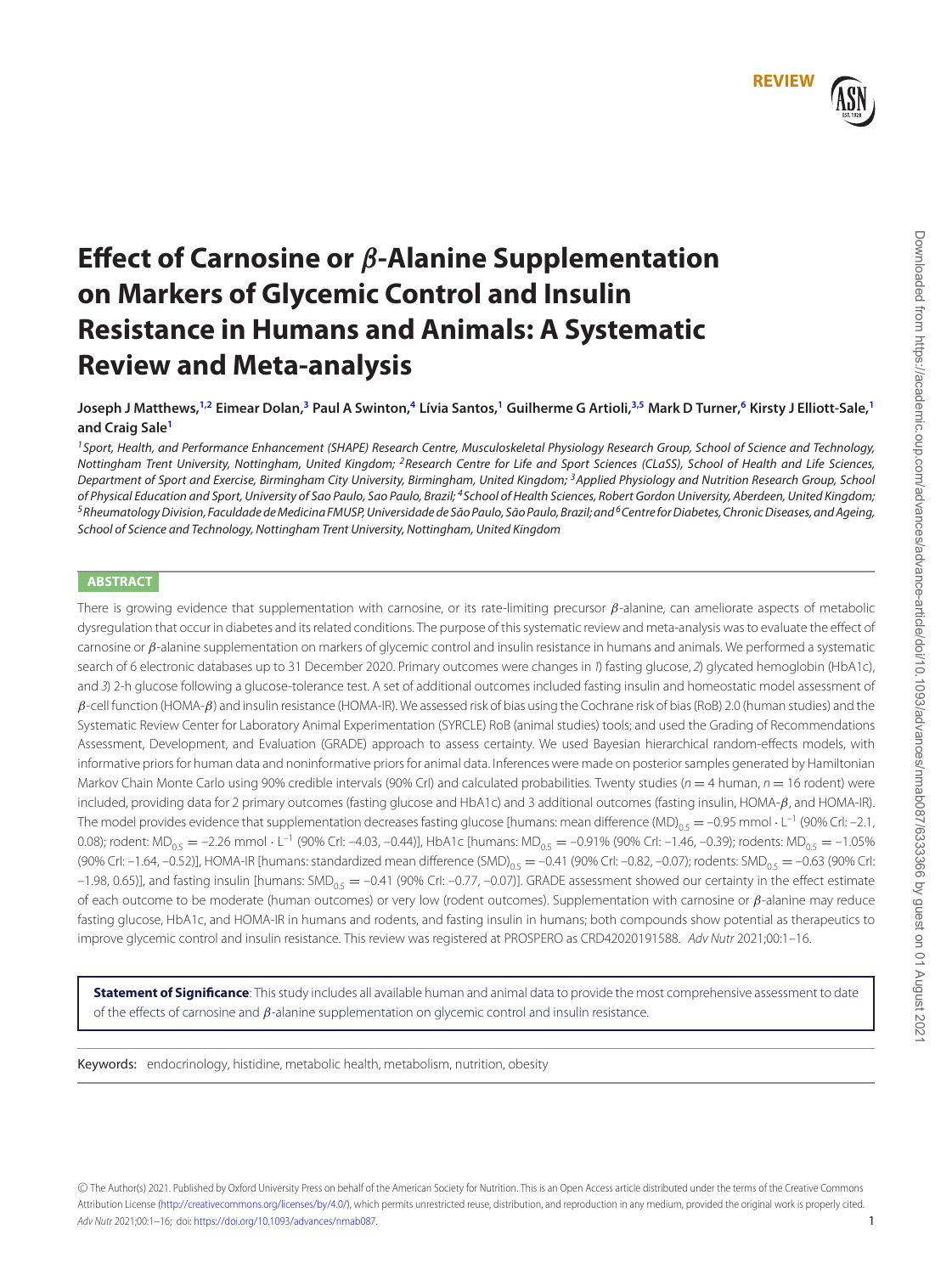# **Effect of Carnosine or** *β***-Alanine Supplementation on Markers of Glycemic Control and Insulin Resistance in Humans and Animals: A Systematic Review and Meta-analysis**

Joseph J Matthews,<sup>[1,](#page-0-0)[2](#page-0-1)</sup> Eimear Dolan,<sup>3</sup> Paul A Swinton,<sup>[4](#page-0-3)</sup> Lívia Santos,<sup>1</sup> Guilherme G Artioli,<sup>3[,5](#page-0-4)</sup> Mark D Turner,<sup>[6](#page-0-5)</sup> Kirsty J Elliott-Sale,<sup>1</sup> **and Craig Sal[e1](#page-0-0)**

<span id="page-0-3"></span><span id="page-0-1"></span><span id="page-0-0"></span><sup>1</sup> Sport, Health, and Performance Enhancement (SHAPE) Research Centre, Musculoskeletal Physiology Research Group, School of Science and Technology, Nottingham Trent University, Nottingham, United Kingdom; <sup>2</sup>Research Centre for Life and Sport Sciences (CLaSS), School of Health and Life Sciences, Department of Sport and Exercise, Birmingham City University, Birmingham, United Kingdom; <sup>3</sup>Applied Physiology and Nutrition Research Group, School of Physical Education and Sport, University of Sao Paulo, Sao Paulo, Brazil; <sup>4</sup>School of Health Sciences, Robert Gordon University, Aberdeen, United Kingdom; <sup>5</sup> Rheumatology Division, Faculdade de Medicina FMUSP, Universidade de São Paulo, São Paulo, Brazil; and<sup>6</sup> Centre for Diabetes, Chronic Diseases, and Ageing, School of Science and Technology, Nottingham Trent University, Nottingham, United Kingdom

# <span id="page-0-4"></span>**ABSTRACT**

There is growing evidence that supplementation with carnosine, or its rate-limiting precursor  $\beta$ -alanine, can ameliorate aspects of metabolic dysregulation that occur in diabetes and its related conditions. The purpose of this systematic review and meta-analysis was to evaluate the effect of carnosine or  $β$ -alanine supplementation on markers of glycemic control and insulin resistance in humans and animals. We performed a systematic search of 6 electronic databases up to 31 December 2020. Primary outcomes were changes in 1) fasting glucose, 2) glycated hemoglobin (HbA1c), and 3) 2-h glucose following a glucose-tolerance test. A set of additional outcomes included fasting insulin and homeostatic model assessment of  $\beta$ -cell function (HOMA- $\beta$ ) and insulin resistance (HOMA-IR). We assessed risk of bias using the Cochrane risk of bias (RoB) 2.0 (human studies) and the Systematic Review Center for Laboratory Animal Experimentation (SYRCLE) RoB (animal studies) tools; and used the Grading of Recommendations Assessment, Development, and Evaluation (GRADE) approach to assess certainty. We used Bayesian hierarchical random-effects models, with informative priors for human data and noninformative priors for animal data. Inferences were made on posterior samples generated by Hamiltonian Markov Chain Monte Carlo using 90% credible intervals (90% CrI) and calculated probabilities. Twenty studies ( $n = 4$  human,  $n = 16$  rodent) were included, providing data for 2 primary outcomes (fasting glucose and HbA1c) and 3 additional outcomes (fasting insulin, HOMA-β, and HOMA-IR). The model provides evidence that supplementation decreases fasting glucose [humans: mean difference (MD)<sub>05</sub> = -0.95 mmol · L<sup>-1</sup> (90% CrI: -2.1, 0.08); rodent:  $MD_{0.5} = -2.26$  mmol  $\cdot$  L<sup>-1</sup> (90% Crl: -4.03, -0.44)], HbA1c [humans:  $MD_{0.5} = -0.91$ % (90% Crl: -1.46, -0.39); rodents:  $MD_{0.5} = -1.05$ % (90% Crl: -1.64, -0.52)], HOMA-IR [humans: standardized mean difference (SMD)<sub>0.5</sub> = -0.41 (90% Crl: -0.82, -0.07); rodents: SMD<sub>0.5</sub> = -0.63 (90% Crl: –1.98, 0.65)], and fasting insulin [humans: SMD<sub>0.5</sub> = –0.41 (90% Crl: –0.77, –0.07)]. GRADE assessment showed our certainty in the effect estimate of each outcome to be moderate (human outcomes) or very low (rodent outcomes). Supplementation with carnosine or β-alanine may reduce fasting glucose, HbA1c, and HOMA-IR in humans and rodents, and fasting insulin in humans; both compounds show potential as therapeutics to improve glycemic control and insulin resistance. This review was registered at PROSPERO as CRD42020191588. Adv Nutr 2021;00:1–16.

**Statement of Significance**: This study includes all available human and animal data to provide the most comprehensive assessment to date of the effects of carnosine and  $\beta$ -alanine supplementation on glycemic control and insulin resistance.

Keywords: endocrinology, histidine, metabolic health, metabolism, nutrition, obesity

-C The Author(s) 2021. Published by Oxford University Press on behalf of the American Society for Nutrition. This is an Open Access article distributed under the terms of the Creative Commons Attribution License [\(http://creativecommons.org/licenses/by/4.0/\)](http://creativecommons.org/licenses/by/4.0/), which permits unrestricted reuse, distribution, and reproduction in any medium, provided the original work is properly cited. Adv Nutr 2021;00:1-16; doi: [https://doi.org/10.1093/advances/nmab087.](https://doi.org/10.1093/advances/nmab087) 1

<span id="page-0-5"></span><span id="page-0-2"></span>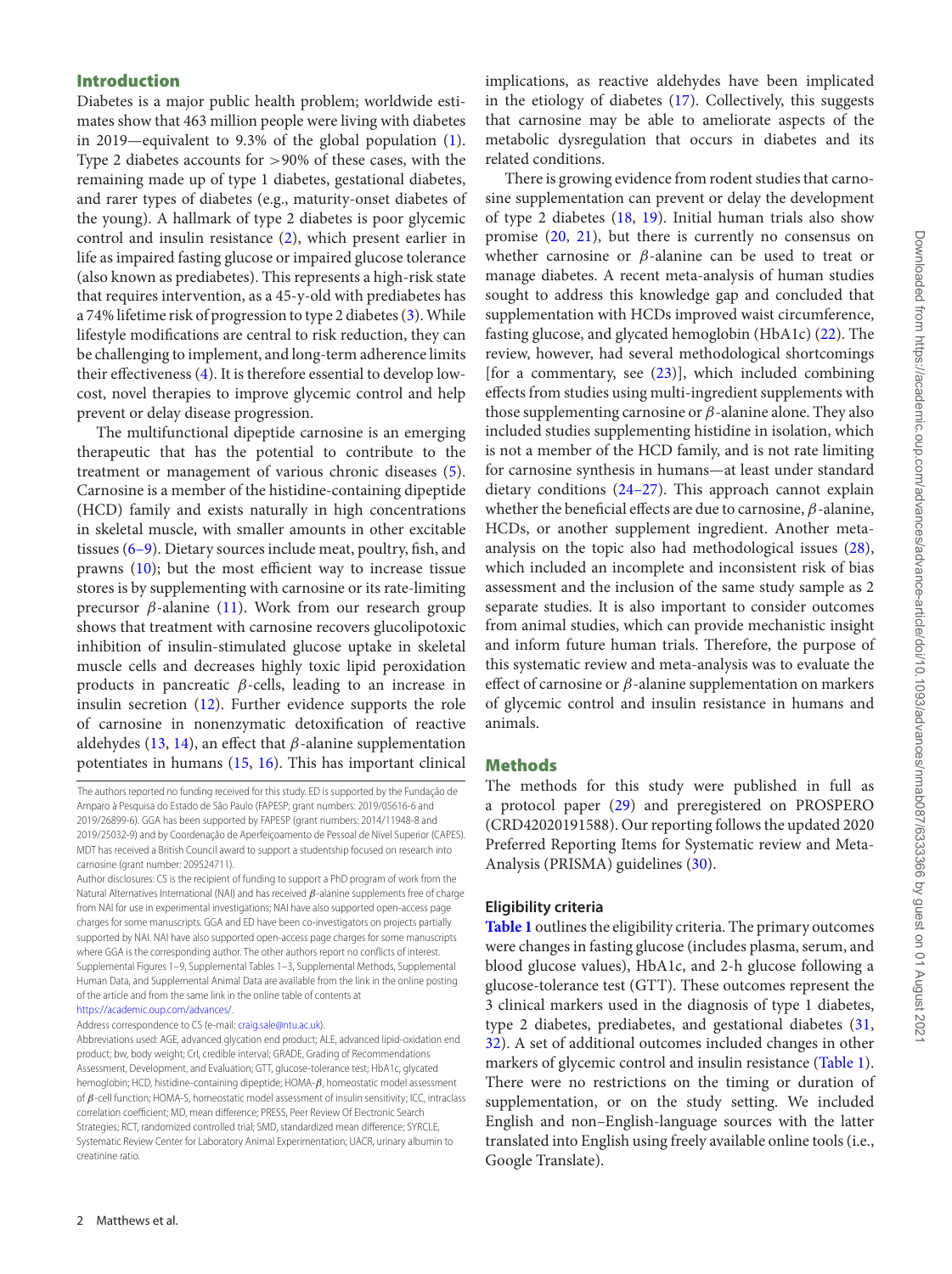# **Introduction**

Diabetes is a major public health problem; worldwide estimates show that 463 million people were living with diabetes in 2019—equivalent to 9.3% of the global population [\(1\)](#page-13-0). Type 2 diabetes accounts for >90% of these cases, with the remaining made up of type 1 diabetes, gestational diabetes, and rarer types of diabetes (e.g., maturity-onset diabetes of the young). A hallmark of type 2 diabetes is poor glycemic control and insulin resistance [\(2\)](#page-13-1), which present earlier in life as impaired fasting glucose or impaired glucose tolerance (also known as prediabetes). This represents a high-risk state that requires intervention, as a 45-y-old with prediabetes has a 74% lifetime risk of progression to type 2 diabetes [\(3\)](#page-13-2).While lifestyle modifications are central to risk reduction, they can be challenging to implement, and long-term adherence limits their effectiveness [\(4\)](#page-13-3). It is therefore essential to develop lowcost, novel therapies to improve glycemic control and help prevent or delay disease progression.

The multifunctional dipeptide carnosine is an emerging therapeutic that has the potential to contribute to the treatment or management of various chronic diseases [\(5\)](#page-13-4). Carnosine is a member of the histidine-containing dipeptide (HCD) family and exists naturally in high concentrations in skeletal muscle, with smaller amounts in other excitable tissues [\(6–9\)](#page-13-5). Dietary sources include meat, poultry, fish, and prawns [\(10\)](#page-13-6); but the most efficient way to increase tissue stores is by supplementing with carnosine or its rate-limiting precursor  $β$ -alanine [\(11\)](#page-13-7). Work from our research group shows that treatment with carnosine recovers glucolipotoxic inhibition of insulin-stimulated glucose uptake in skeletal muscle cells and decreases highly toxic lipid peroxidation products in pancreatic β-cells, leading to an increase in insulin secretion [\(12\)](#page-13-8). Further evidence supports the role of carnosine in nonenzymatic detoxification of reactive aldehydes [\(13,](#page-13-9) [14\)](#page-13-10), an effect that  $\beta$ -alanine supplementation potentiates in humans [\(15,](#page-13-11) [16\)](#page-13-12). This has important clinical

[https://academic.oup.com/advances/.](https://academic.oup.com/advances/)

Address correspondence to CS (e-mail: [craig.sale@ntu.ac.uk\)](mailto:joseph.matthews@bcu.ac.uk).

implications, as reactive aldehydes have been implicated in the etiology of diabetes [\(17\)](#page-13-13). Collectively, this suggests that carnosine may be able to ameliorate aspects of the metabolic dysregulation that occurs in diabetes and its related conditions.

There is growing evidence from rodent studies that carnosine supplementation can prevent or delay the development of type 2 diabetes  $(18, 19)$  $(18, 19)$  $(18, 19)$ . Initial human trials also show promise [\(20,](#page-13-16) [21\)](#page-13-17), but there is currently no consensus on whether carnosine or  $\beta$ -alanine can be used to treat or manage diabetes. A recent meta-analysis of human studies sought to address this knowledge gap and concluded that supplementation with HCDs improved waist circumference, fasting glucose, and glycated hemoglobin (HbA1c) [\(22\)](#page-13-18). The review, however, had several methodological shortcomings [for a commentary, see [\(23\)](#page-13-19)], which included combining effects from studies using multi-ingredient supplements with those supplementing carnosine or  $\beta$ -alanine alone. They also included studies supplementing histidine in isolation, which is not a member of the HCD family, and is not rate limiting for carnosine synthesis in humans—at least under standard dietary conditions [\(24–27\)](#page-13-20). This approach cannot explain whether the beneficial effects are due to carnosine,  $\beta$ -alanine, HCDs, or another supplement ingredient. Another metaanalysis on the topic also had methodological issues [\(28\)](#page-14-0), which included an incomplete and inconsistent risk of bias assessment and the inclusion of the same study sample as 2 separate studies. It is also important to consider outcomes from animal studies, which can provide mechanistic insight and inform future human trials. Therefore, the purpose of this systematic review and meta-analysis was to evaluate the effect of carnosine or  $\beta$ -alanine supplementation on markers of glycemic control and insulin resistance in humans and animals.

# **Methods**

The methods for this study were published in full as a protocol paper [\(29\)](#page-14-1) and preregistered on PROSPERO (CRD42020191588). Our reporting follows the updated 2020 Preferred Reporting Items for Systematic review and Meta-Analysis (PRISMA) guidelines [\(30\)](#page-14-2).

# **Eligibility criteria**

**[Table 1](#page-2-0)** outlines the eligibility criteria. The primary outcomes were changes in fasting glucose (includes plasma, serum, and blood glucose values), HbA1c, and 2-h glucose following a glucose-tolerance test (GTT). These outcomes represent the 3 clinical markers used in the diagnosis of type 1 diabetes, type 2 diabetes, prediabetes, and gestational diabetes [\(31,](#page-14-3) [32\)](#page-14-4). A set of additional outcomes included changes in other markers of glycemic control and insulin resistance [\(Table 1\)](#page-2-0). There were no restrictions on the timing or duration of supplementation, or on the study setting. We included English and non–English-language sources with the latter translated into English using freely available online tools (i.e., Google Translate).

The authors reported no funding received for this study. ED is supported by the Fundação de Amparo à Pesquisa do Estado de São Paulo (FAPESP; grant numbers: 2019/05616-6 and 2019/26899-6). GGA has been supported by FAPESP (grant numbers: 2014/11948-8 and 2019/25032-9) and by Coordenação de Aperfeiçoamento de Pessoal de Nível Superior (CAPES). MDT has received a British Council award to support a studentship focused on research into carnosine (grant number: 209524711).

Author disclosures: CS is the recipient of funding to support a PhD program of work from the Natural Alternatives International (NAI) and has received  $β$ -alanine supplements free of charge from NAI for use in experimental investigations; NAI have also supported open-access page charges for some manuscripts. GGA and ED have been co-investigators on projects partially supported by NAI. NAI have also supported open-access page charges for some manuscripts where GGA is the corresponding author. The other authors report no conflicts of interest. Supplemental Figures 1–9, Supplemental Tables 1–3, Supplemental Methods, Supplemental Human Data, and Supplemental Animal Data are available from the link in the online posting of the article and from the same link in the online table of contents at

Abbreviations used: AGE, advanced glycation end product; ALE, advanced lipid-oxidation end product; bw, body weight; CrI, credible interval; GRADE, Grading of Recommendations Assessment, Development, and Evaluation; GTT, glucose-tolerance test; HbA1c, glycated hemoglobin; HCD, histidine-containing dipeptide; HOMA-β, homeostatic model assessment of  $\beta$ -cell function; HOMA-S, homeostatic model assessment of insulin sensitivity; ICC, intraclass correlation coefficient; MD, mean difference; PRESS, Peer Review Of Electronic Search Strategies; RCT, randomized controlled trial; SMD, standardized mean difference; SYRCLE, Systematic Review Center for Laboratory Animal Experimentation; UACR, urinary albumin to creatinine ratio.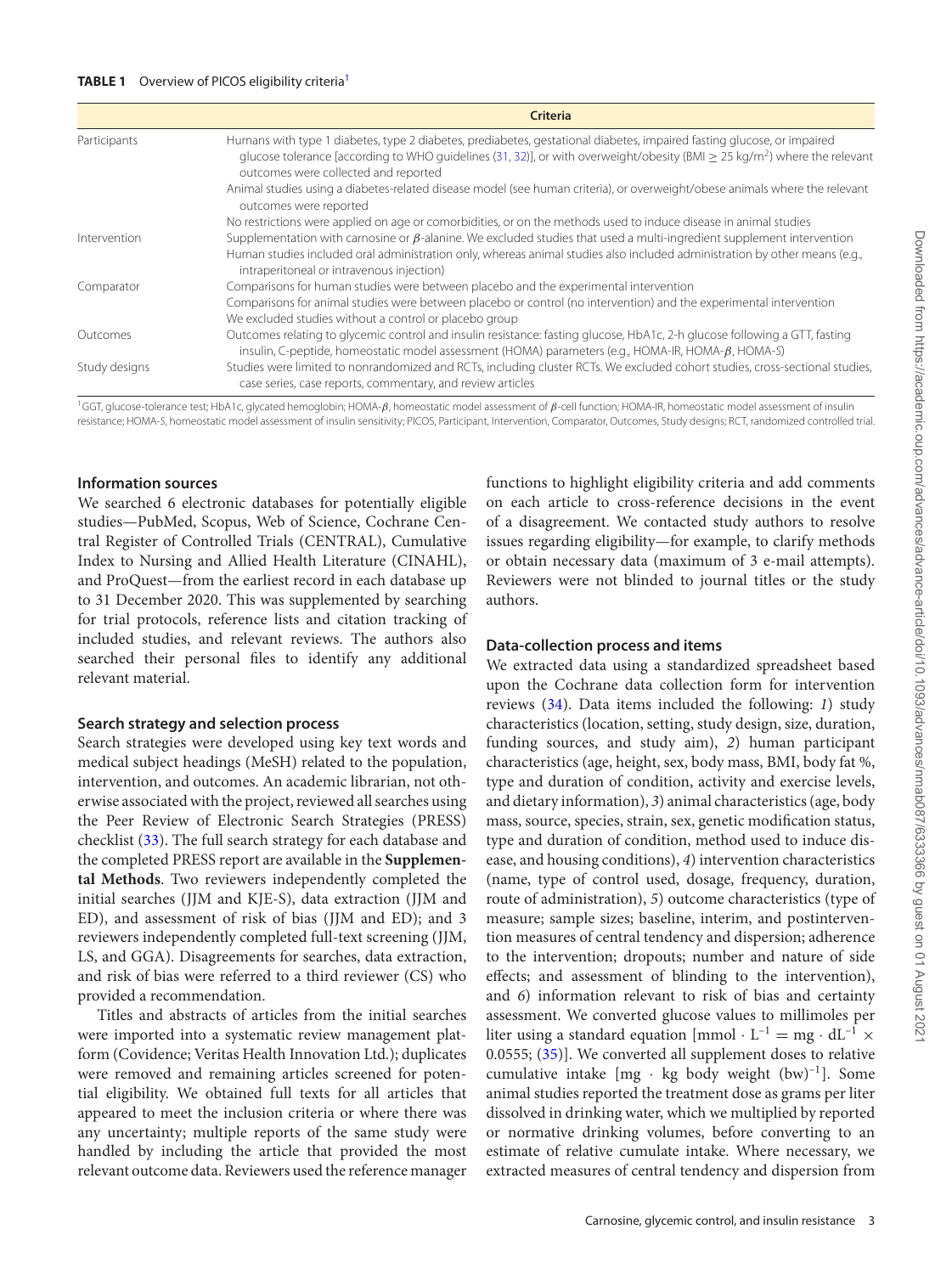#### <span id="page-2-0"></span>**TABLE [1](#page-2-1)** Overview of PICOS eligibility criteria<sup>1</sup>

|               | Criteria                                                                                                                                                                                                                                                                                                     |
|---------------|--------------------------------------------------------------------------------------------------------------------------------------------------------------------------------------------------------------------------------------------------------------------------------------------------------------|
| Participants  | Humans with type 1 diabetes, type 2 diabetes, prediabetes, gestational diabetes, impaired fasting glucose, or impaired<br>glucose tolerance [according to WHO guidelines (31, 32)], or with overweight/obesity (BMI $\geq$ 25 kg/m <sup>2</sup> ) where the relevant<br>outcomes were collected and reported |
|               | Animal studies using a diabetes-related disease model (see human criteria), or overweight/obese animals where the relevant<br>outcomes were reported                                                                                                                                                         |
|               | No restrictions were applied on age or comorbidities, or on the methods used to induce disease in animal studies                                                                                                                                                                                             |
| Intervention  | Supplementation with carnosine or $\beta$ -alanine. We excluded studies that used a multi-ingredient supplement intervention                                                                                                                                                                                 |
|               | Human studies included oral administration only, whereas animal studies also included administration by other means (e.g.,<br>intraperitoneal or intravenous injection)                                                                                                                                      |
| Comparator    | Comparisons for human studies were between placebo and the experimental intervention                                                                                                                                                                                                                         |
|               | Comparisons for animal studies were between placebo or control (no intervention) and the experimental intervention                                                                                                                                                                                           |
|               | We excluded studies without a control or placebo group                                                                                                                                                                                                                                                       |
| Outcomes      | Outcomes relating to glycemic control and insulin resistance: fasting glucose, HbA1c, 2-h glucose following a GTT, fasting<br>insulin, C-peptide, homeostatic model assessment (HOMA) parameters (e.g., HOMA-IR, HOMA- $\beta$ , HOMA-S)                                                                     |
| Study designs | Studies were limited to nonrandomized and RCTs, including cluster RCTs. We excluded cohort studies, cross-sectional studies,<br>case series, case reports, commentary, and review articles                                                                                                                   |

<span id="page-2-1"></span><sup>1</sup>GGT, glucose-tolerance test; HbA1c, glycated hemoglobin; HOMA-β, homeostatic model assessment of β-cell function; HOMA-IR, homeostatic model assessment of insulin resistance; HOMA-S, homeostatic model assessment of insulin sensitivity; PICOS, Participant, Intervention, Comparator, Outcomes, Study designs; RCT, randomized controlled trial.

#### **Information sources**

We searched 6 electronic databases for potentially eligible studies—PubMed, Scopus, Web of Science, Cochrane Central Register of Controlled Trials (CENTRAL), Cumulative Index to Nursing and Allied Health Literature (CINAHL), and ProQuest—from the earliest record in each database up to 31 December 2020. This was supplemented by searching for trial protocols, reference lists and citation tracking of included studies, and relevant reviews. The authors also searched their personal files to identify any additional relevant material.

#### **Search strategy and selection process**

Search strategies were developed using key text words and medical subject headings (MeSH) related to the population, intervention, and outcomes. An academic librarian, not otherwise associated with the project, reviewed all searches using the Peer Review of Electronic Search Strategies (PRESS) checklist [\(33\)](#page-14-5). The full search strategy for each database and the completed PRESS report are available in the **Supplemental Methods**. Two reviewers independently completed the initial searches (JJM and KJE-S), data extraction (JJM and ED), and assessment of risk of bias (JJM and ED); and 3 reviewers independently completed full-text screening (JJM, LS, and GGA). Disagreements for searches, data extraction, and risk of bias were referred to a third reviewer (CS) who provided a recommendation.

Titles and abstracts of articles from the initial searches were imported into a systematic review management platform (Covidence; Veritas Health Innovation Ltd.); duplicates were removed and remaining articles screened for potential eligibility. We obtained full texts for all articles that appeared to meet the inclusion criteria or where there was any uncertainty; multiple reports of the same study were handled by including the article that provided the most relevant outcome data. Reviewers used the reference manager functions to highlight eligibility criteria and add comments on each article to cross-reference decisions in the event of a disagreement. We contacted study authors to resolve issues regarding eligibility—for example, to clarify methods or obtain necessary data (maximum of 3 e-mail attempts). Reviewers were not blinded to journal titles or the study authors.

#### **Data-collection process and items**

We extracted data using a standardized spreadsheet based upon the Cochrane data collection form for intervention reviews [\(34\)](#page-14-6). Data items included the following: *1*) study characteristics (location, setting, study design, size, duration, funding sources, and study aim), *2*) human participant characteristics (age, height, sex, body mass, BMI, body fat %, type and duration of condition, activity and exercise levels, and dietary information), *3*) animal characteristics (age, body mass, source, species, strain, sex, genetic modification status, type and duration of condition, method used to induce disease, and housing conditions), *4*) intervention characteristics (name, type of control used, dosage, frequency, duration, route of administration), *5*) outcome characteristics (type of measure; sample sizes; baseline, interim, and postintervention measures of central tendency and dispersion; adherence to the intervention; dropouts; number and nature of side effects; and assessment of blinding to the intervention), and *6*) information relevant to risk of bias and certainty assessment. We converted glucose values to millimoles per liter using a standard equation  $\text{[mmol}\cdot\text{L}^{-1} = \text{mg}\cdot\text{d}\text{L}^{-1} \times$ 0.0555; [\(35\)](#page-14-7)]. We converted all supplement doses to relative cumulative intake  $[mg \cdot kg]$  body weight  $(bw)^{-1}$ . Some animal studies reported the treatment dose as grams per liter dissolved in drinking water, which we multiplied by reported or normative drinking volumes, before converting to an estimate of relative cumulate intake. Where necessary, we extracted measures of central tendency and dispersion from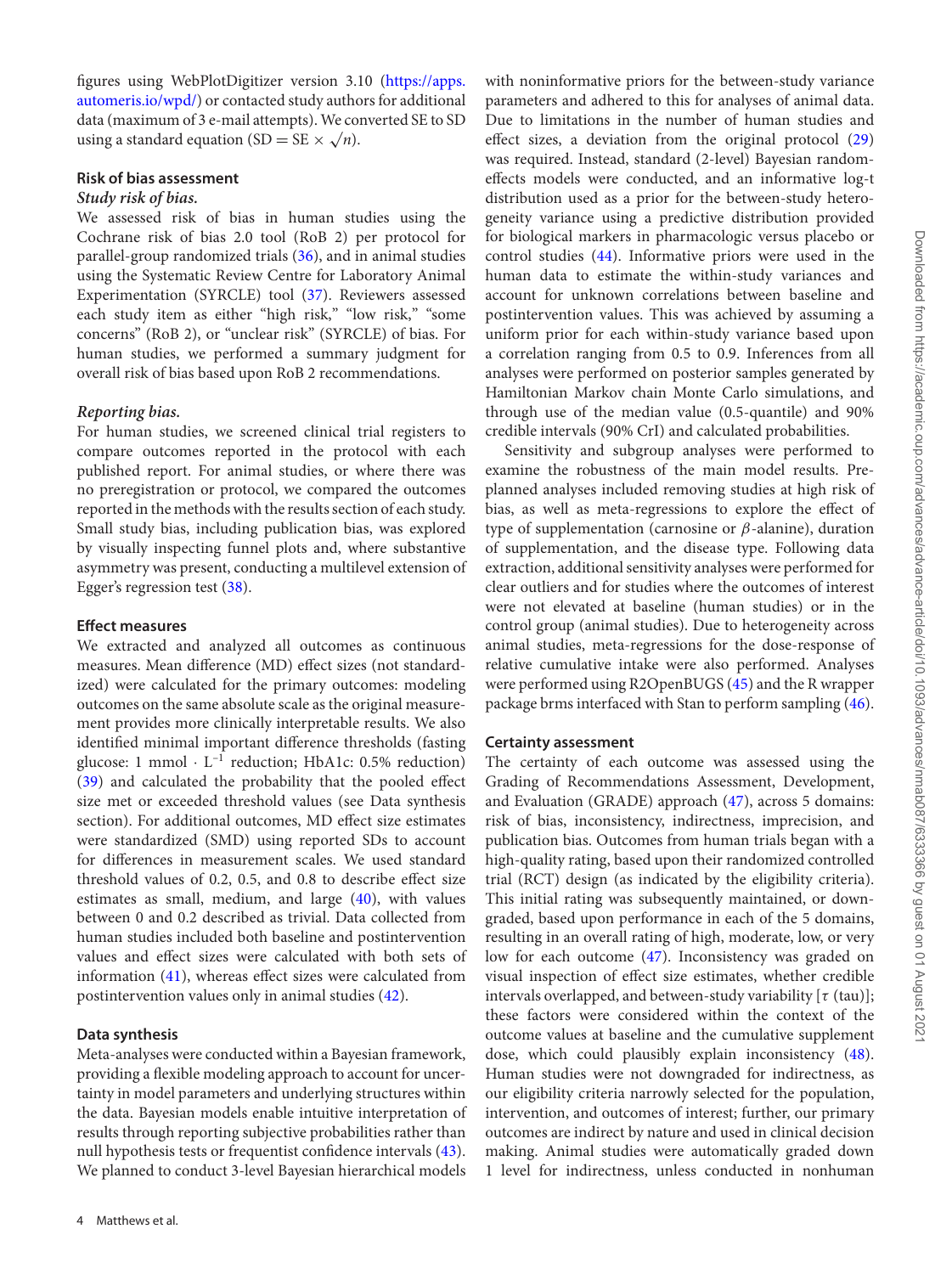figures using WebPlotDigitizer version 3.10 (https://apps. [automeris.io/wpd/\) or contacted study authors for additional](https://apps.automeris.io/wpd/) data (maximum of 3 e-mail attempts). We converted SE to SD using a standard equation (SD = SE  $\times \sqrt{n}$ ).

# **Risk of bias assessment**

# *Study risk of bias.*

We assessed risk of bias in human studies using the Cochrane risk of bias 2.0 tool (RoB 2) per protocol for parallel-group randomized trials [\(36\)](#page-14-8), and in animal studies using the Systematic Review Centre for Laboratory Animal Experimentation (SYRCLE) tool [\(37\)](#page-14-9). Reviewers assessed each study item as either "high risk," "low risk," "some concerns" (RoB 2), or "unclear risk" (SYRCLE) of bias. For human studies, we performed a summary judgment for overall risk of bias based upon RoB 2 recommendations.

# *Reporting bias.*

For human studies, we screened clinical trial registers to compare outcomes reported in the protocol with each published report. For animal studies, or where there was no preregistration or protocol, we compared the outcomes reported in the methods with the results section of each study. Small study bias, including publication bias, was explored by visually inspecting funnel plots and, where substantive asymmetry was present, conducting a multilevel extension of Egger's regression test [\(38\)](#page-14-10).

#### **Effect measures**

We extracted and analyzed all outcomes as continuous measures. Mean difference (MD) effect sizes (not standardized) were calculated for the primary outcomes: modeling outcomes on the same absolute scale as the original measurement provides more clinically interpretable results. We also identified minimal important difference thresholds (fasting glucose: 1 mmol  $\cdot$  L<sup>-1</sup> reduction; HbA1c: 0.5% reduction) [\(39\)](#page-14-11) and calculated the probability that the pooled effect size met or exceeded threshold values (see Data synthesis section). For additional outcomes, MD effect size estimates were standardized (SMD) using reported SDs to account for differences in measurement scales. We used standard threshold values of 0.2, 0.5, and 0.8 to describe effect size estimates as small, medium, and large  $(40)$ , with values between 0 and 0.2 described as trivial. Data collected from human studies included both baseline and postintervention values and effect sizes were calculated with both sets of information [\(41\)](#page-14-13), whereas effect sizes were calculated from postintervention values only in animal studies [\(42\)](#page-14-14).

#### **Data synthesis**

Meta-analyses were conducted within a Bayesian framework, providing a flexible modeling approach to account for uncertainty in model parameters and underlying structures within the data. Bayesian models enable intuitive interpretation of results through reporting subjective probabilities rather than null hypothesis tests or frequentist confidence intervals [\(43\)](#page-14-15). We planned to conduct 3-level Bayesian hierarchical models

with noninformative priors for the between-study variance parameters and adhered to this for analyses of animal data. Due to limitations in the number of human studies and effect sizes, a deviation from the original protocol [\(29\)](#page-14-1) was required. Instead, standard (2-level) Bayesian randomeffects models were conducted, and an informative log-t distribution used as a prior for the between-study heterogeneity variance using a predictive distribution provided for biological markers in pharmacologic versus placebo or control studies [\(44\)](#page-14-16). Informative priors were used in the human data to estimate the within-study variances and account for unknown correlations between baseline and postintervention values. This was achieved by assuming a uniform prior for each within-study variance based upon a correlation ranging from 0.5 to 0.9. Inferences from all analyses were performed on posterior samples generated by Hamiltonian Markov chain Monte Carlo simulations, and through use of the median value (0.5-quantile) and 90% credible intervals (90% CrI) and calculated probabilities.

Sensitivity and subgroup analyses were performed to examine the robustness of the main model results. Preplanned analyses included removing studies at high risk of bias, as well as meta-regressions to explore the effect of type of supplementation (carnosine or  $β$ -alanine), duration of supplementation, and the disease type. Following data extraction, additional sensitivity analyses were performed for clear outliers and for studies where the outcomes of interest were not elevated at baseline (human studies) or in the control group (animal studies). Due to heterogeneity across animal studies, meta-regressions for the dose-response of relative cumulative intake were also performed. Analyses were performed using R2OpenBUGS [\(45\)](#page-14-17) and the R wrapper package brms interfaced with Stan to perform sampling [\(46\)](#page-14-18).

#### **Certainty assessment**

The certainty of each outcome was assessed using the Grading of Recommendations Assessment, Development, and Evaluation (GRADE) approach [\(47\)](#page-14-19), across 5 domains: risk of bias, inconsistency, indirectness, imprecision, and publication bias. Outcomes from human trials began with a high-quality rating, based upon their randomized controlled trial (RCT) design (as indicated by the eligibility criteria). This initial rating was subsequently maintained, or downgraded, based upon performance in each of the 5 domains, resulting in an overall rating of high, moderate, low, or very low for each outcome [\(47\)](#page-14-19). Inconsistency was graded on visual inspection of effect size estimates, whether credible intervals overlapped, and between-study variability  $[\tau (tau)];$ these factors were considered within the context of the outcome values at baseline and the cumulative supplement dose, which could plausibly explain inconsistency [\(48\)](#page-14-20). Human studies were not downgraded for indirectness, as our eligibility criteria narrowly selected for the population, intervention, and outcomes of interest; further, our primary outcomes are indirect by nature and used in clinical decision making. Animal studies were automatically graded down 1 level for indirectness, unless conducted in nonhuman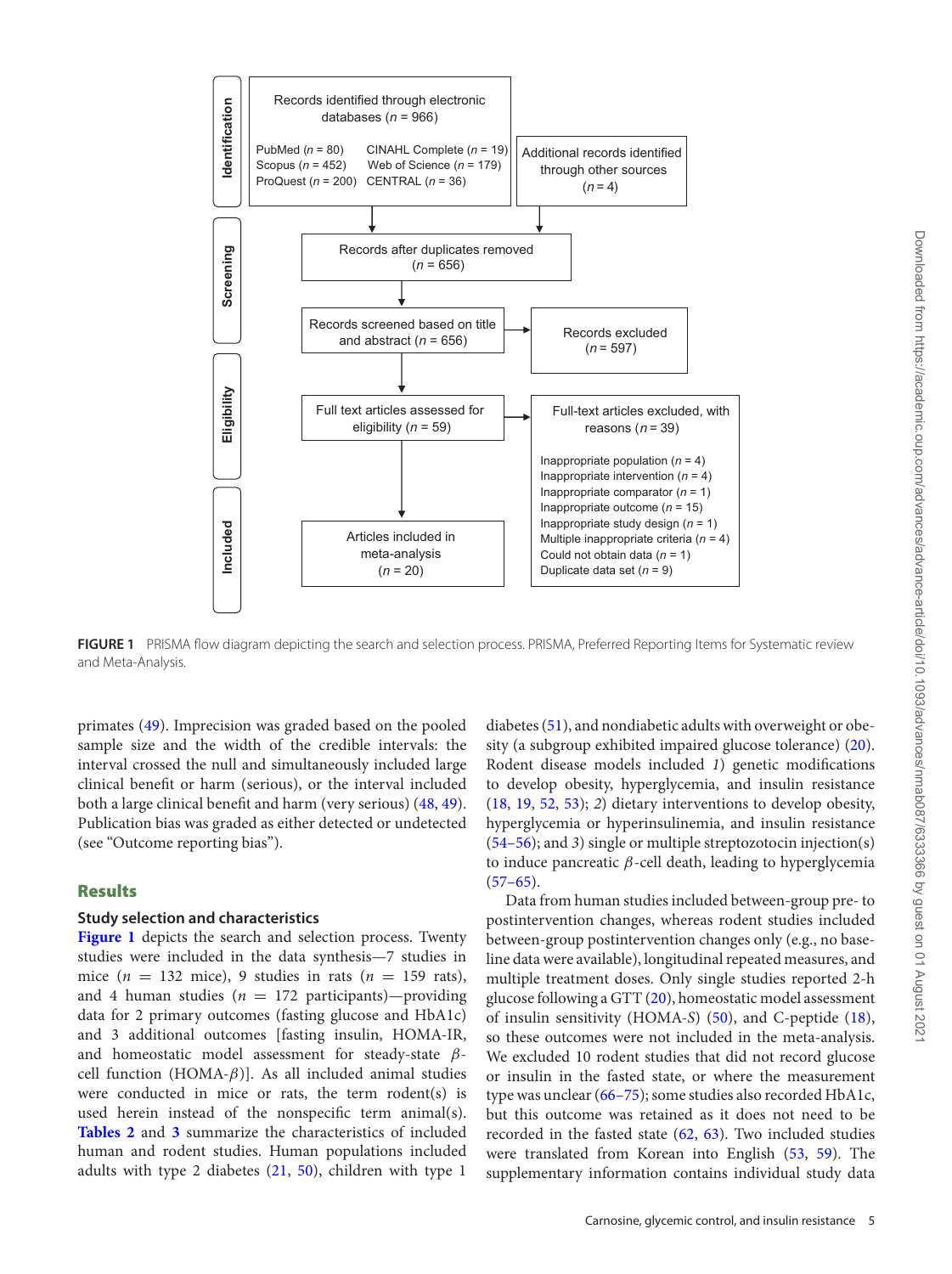<span id="page-4-0"></span>

**FIGURE 1** PRISMA flow diagram depicting the search and selection process. PRISMA, Preferred Reporting Items for Systematic review and Meta-Analysis.

primates [\(49\)](#page-14-21). Imprecision was graded based on the pooled sample size and the width of the credible intervals: the interval crossed the null and simultaneously included large clinical benefit or harm (serious), or the interval included both a large clinical benefit and harm (very serious) [\(48,](#page-14-20) [49\)](#page-14-21). Publication bias was graded as either detected or undetected (see "Outcome reporting bias").

# **Results**

# **Study selection and characteristics**

**[Figure 1](#page-4-0)** depicts the search and selection process. Twenty studies were included in the data synthesis—7 studies in mice  $(n = 132$  mice), 9 studies in rats  $(n = 159$  rats), and 4 human studies ( $n = 172$  participants)—providing data for 2 primary outcomes (fasting glucose and HbA1c) and 3 additional outcomes [fasting insulin, HOMA-IR, and homeostatic model assessment for steady-state  $\beta$ cell function (HOMA- $\beta$ ). As all included animal studies were conducted in mice or rats, the term rodent(s) is used herein instead of the nonspecific term animal(s). **[Tables 2](#page-5-0)** and **[3](#page-6-0)** summarize the characteristics of included human and rodent studies. Human populations included adults with type 2 diabetes [\(21,](#page-13-17) [50\)](#page-14-22), children with type 1

diabetes [\(51\)](#page-14-23), and nondiabetic adults with overweight or obesity (a subgroup exhibited impaired glucose tolerance) [\(20\)](#page-13-16). Rodent disease models included *1*) genetic modifications to develop obesity, hyperglycemia, and insulin resistance [\(18,](#page-13-14) [19,](#page-13-15) [52,](#page-14-24) [53\)](#page-14-25); *2*) dietary interventions to develop obesity, hyperglycemia or hyperinsulinemia, and insulin resistance [\(54–56\)](#page-14-26); and *3*) single or multiple streptozotocin injection(s) to induce pancreatic  $β$ -cell death, leading to hyperglycemia  $(57-65).$ 

Data from human studies included between-group pre- to postintervention changes, whereas rodent studies included between-group postintervention changes only (e.g., no baseline data were available), longitudinal repeated measures, and multiple treatment doses. Only single studies reported 2-h glucose following a GTT [\(20\)](#page-13-16), homeostatic model assessment of insulin sensitivity (HOMA-*S*) [\(50\)](#page-14-22), and C-peptide [\(18\)](#page-13-14), so these outcomes were not included in the meta-analysis. We excluded 10 rodent studies that did not record glucose or insulin in the fasted state, or where the measurement type was unclear [\(66–75\)](#page-15-0); some studies also recorded HbA1c, but this outcome was retained as it does not need to be recorded in the fasted state [\(62,](#page-14-28) [63\)](#page-15-1). Two included studies were translated from Korean into English [\(53,](#page-14-25) [59\)](#page-14-29). The supplementary information contains individual study data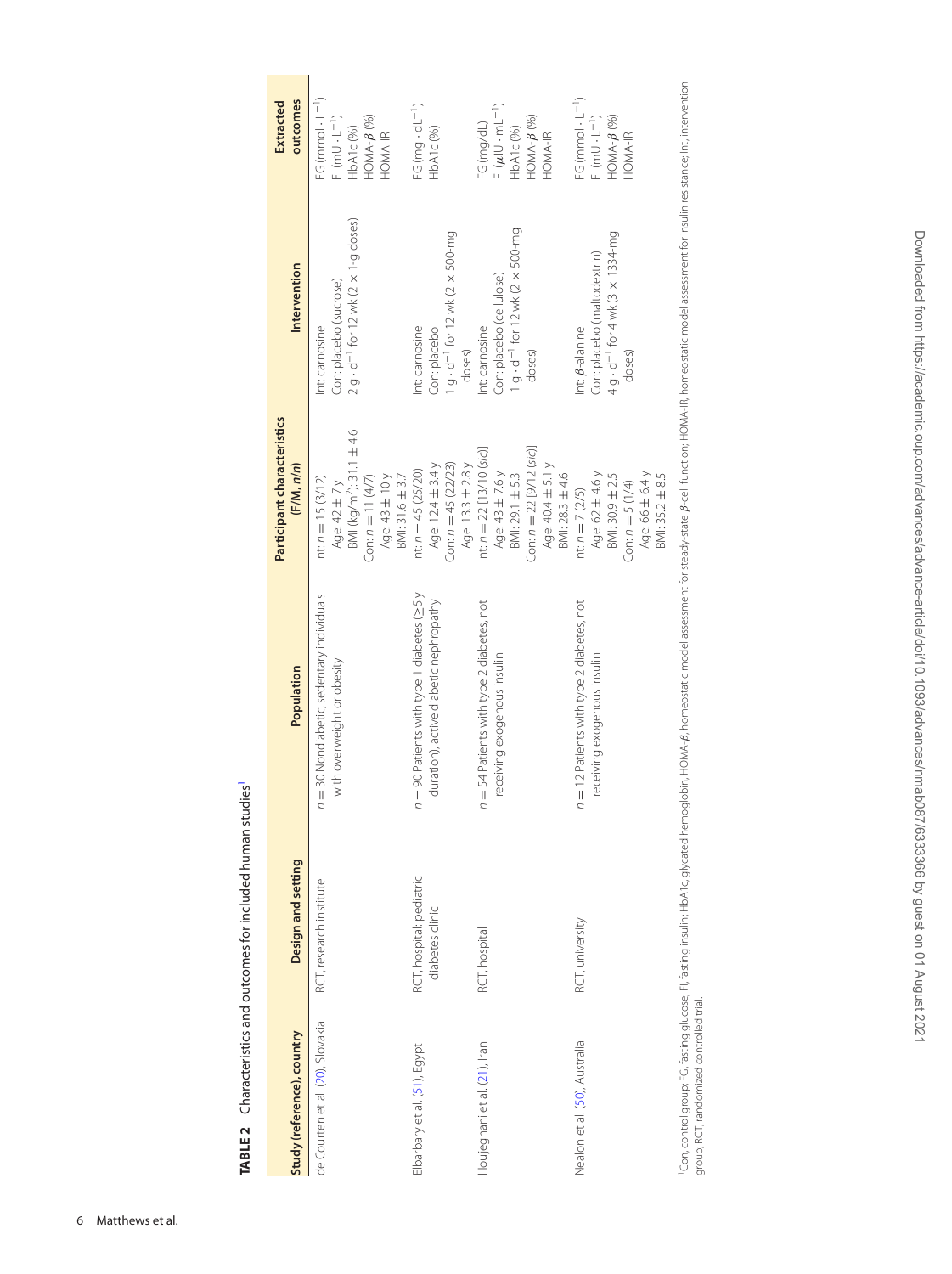<span id="page-5-1"></span><span id="page-5-0"></span>TABLE 2 Characteristics and outcomes for included human studies<sup>1</sup> **TABLE 2** Characteristics and outcomes for included human studies<sup>1</sup>

| Study (reference), country       | Design and setting                          | Population                                                                                       | Participant characteristics<br>(F/M, n/n)                                                                                                   | Intervention                                                                                                | outcomes<br>Extracted                                                                              |
|----------------------------------|---------------------------------------------|--------------------------------------------------------------------------------------------------|---------------------------------------------------------------------------------------------------------------------------------------------|-------------------------------------------------------------------------------------------------------------|----------------------------------------------------------------------------------------------------|
| de Courten et al. (20), Slovakia | RCT, research institute                     | = 30 Nondiabetic, sedentary individuals<br>with overweight or obesity<br>$\overline{a}$          | BMI (kg/m <sup>2</sup> ): 31.1 ± 4.6<br>BMI: 31.6 ± 3.7<br>Con: $n = 11(4/7)$<br>Age: 43 ± 10 y<br>$lnt$ : $n = 15 (3/12)$<br>Age: 42 ± 7 y | $2 g \cdot d^{-1}$ for 12 wk (2 $\times$ 1-g doses)<br>Con: placebo (sucrose)<br>Int: carnosine             | FG (mmol $\cdot$ L <sup>-1</sup> )<br>$F(mU \cdot L^{-1})$<br>$HOMA-B$ (%)<br>HbA1c (%)<br>HOMA-IR |
| Elbarbary et al. (51), Egypt     | RCT, hospital: pediatric<br>diabetes clinic | $=$ 90 Patients with type 1 diabetes ( $\geq$ 5 y<br>duration), active diabetic nephropathy<br>ς | Con: $n = 45 (22/23)$<br>Age: 12.4 $\pm$ 3.4 $y$<br>Age: 13.3 ± 2.8 y<br>Int: $n = 45 (25/20)$                                              | $1 g \cdot d^{-1}$ for 12 wk (2 $\times$ 500-mg<br>Int: carnosine<br>Con: placebo<br>doses)                 | $FG (mag \cdot dL^{-1})$<br>HbA1c (%)                                                              |
| Houjeghani et al. (21), Iran     | RCT, hospital                               | = 54 Patients with type 2 diabetes, not<br>receiving exogenous insulin<br>$\overline{a}$         | Con: $n = 22$ [9/12 (sic)]<br>Int: $n = 22$ [13/10 (sic)]<br>Age: 40.4 ± 5.1 y<br>Age: 43 ± 7.6 y<br>BMI: 28.3 ± 4.6<br>BMI: 29.1 ± 5.3     | $1 g \cdot d^{-1}$ for $12$ wk ( $2 \times 500$ -mg<br>Con: placebo (cellulose)<br>Int: carnosine<br>doses) | $FI(\mu$ IU $\cdot$ mL <sup>-1</sup> )<br>$HOMA-B (96)$<br>FG (mg/dL)<br>HbA1c (%)<br>HOMA-IR      |
| Nealon et al. (50), Australia    | RCT, university                             | = 12 Patients with type 2 diabetes, not<br>receiving exogenous insulin<br>$\overline{a}$         | Age: 62 ± 4.6 y<br>Age: 66 ± 6.4 y<br>BMI: 30.9 ± 2.5<br>BMI: 35.2 ± 8.5<br>$Con:n = 5(1/4)$<br>$lnt: n = 7 (2/5)$                          | 4 g - d <sup>-1</sup> for 4 wk (3 x 1334-mg<br>Con: placebo (maltodextrin)<br>Int: B-alanine<br>doses)      | FG (mmol $\cdot$ L <sup>-1</sup> )<br>$F(mU \cdot L^{-1})$<br>$HOMA-B (96)$<br>HOMA-IR             |

'Con, control group; FG, fasting glucose; FI, fasting insulin; HbA1c, glycated hemoglobin, HOMA-*B,* homeostatic model assessment for the homeostatic model assessment for insulin resistance; Int, intervention<br>group; RCT, r Con, control group; FG, fasting glucose; Fi, fasting insulin; HbA16, glycated hemoglobin, HOMA4, B, homeostatic profess to all function; HOMA-IR, homeostatic model assessment for insulin resistance; Int, intervention group; RCT, randomized controlled trial.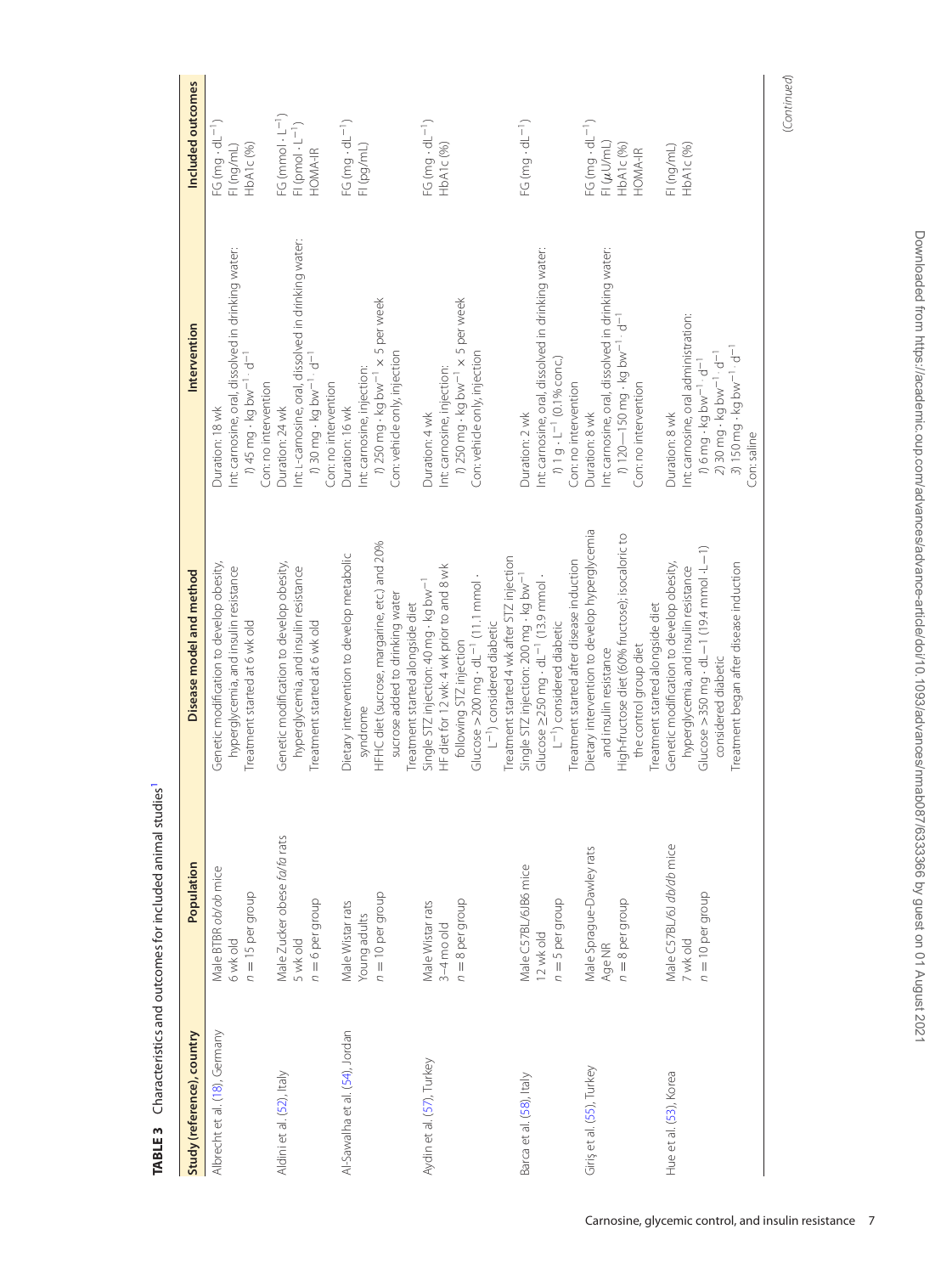| Study (reference), country     | Population                   | Disease model and method                                          | Intervention                                                    | Included outcomes                  |
|--------------------------------|------------------------------|-------------------------------------------------------------------|-----------------------------------------------------------------|------------------------------------|
|                                |                              |                                                                   |                                                                 |                                    |
| Albrecht et al. (18), Germany  | Male BTBR ob/ob mice         | Genetic modification to develop obesity,                          | Duration: 18 wk                                                 | FG (mg $\cdot$ dL <sup>-1</sup> )  |
|                                | 6 wk old                     | hyperglycemia, and insulin resistance                             | Int: carnosine, oral, dissolved in drinking water:              | FI (ng/mL)                         |
|                                | $n = 15$ per group           | Treatment started at 6 wk old                                     | $1/45$ mg $\cdot$ kg bw <sup>-1</sup> · d <sup>-1</sup>         | HbA1c(%)                           |
|                                |                              |                                                                   | Con: no intervention                                            |                                    |
| Aldini et al. (52), Italy      | Male Zucker obese fa/fa rats | Genetic modification to develop obesity,                          | Duration: 24 wk                                                 | FG (mmol $\cdot$ L <sup>-1</sup> ) |
|                                | 5 wk old                     | hyperglycemia, and insulin resistance                             | nt: L-carnosine, oral, dissolved in drinking water:             | FI (pmol $\cdot$ L <sup>-1</sup> ) |
|                                | $n = 6$ per group            | Treatment started at 6 wk old                                     | 1) 30 mg - kg bw <sup>-1</sup> · d <sup>-1</sup>                | HOMA-IR                            |
|                                |                              |                                                                   | Con: no intervention                                            |                                    |
| Al-Sawalha et al. (54), Jordan | Male Wistar rats             | Dietary intervention to develop metabolic                         | Duration: 16 wk                                                 | $FG (mg \cdot dL^{-1})$            |
|                                | Young adults                 | syndrome                                                          | Int: carnosine, injection:                                      | FI (pg/mL)                         |
|                                | $n = 10$ per group           | HFHC diet (sucrose, margarine, etc.) and 20%                      | 1) 250 mg - kg bw <sup>-1</sup> x 5 per week                    |                                    |
|                                |                              | sucrose added to drinking water                                   | Con: vehicle only, injection                                    |                                    |
|                                |                              | Treatment started alongside diet                                  |                                                                 |                                    |
| Aydin et al. (57), Turkey      | Male Wistar rats             | Single STZ injection: 40 mg · kg bw <sup>-1</sup>                 | Duration: 4 wk                                                  | FG (mg $\cdot$ dL <sup>-1</sup> )  |
|                                | $3-4$ mo old                 | HF diet for 12 wk: 4 wk prior to and 8 wk                         | Int: carnosine, injection:                                      | HbA1c(%)                           |
|                                | $n = 8$ per group            | following STZ injection                                           | 1) 250 mg - kg bw <sup>-1</sup> x 5 per week                    |                                    |
|                                |                              | Glucose $>200$ mg $\cdot$ dL <sup>-1</sup> (11.1 mmol $\cdot$     | Con: vehicle only, injection                                    |                                    |
|                                |                              | L <sup>-1</sup> ) considered diabetic                             |                                                                 |                                    |
|                                |                              | Treatment started 4 wk after STZ injection                        |                                                                 |                                    |
| Barca et al. (58), Italy       | Male C57BL/6JB6 mice         | Single STZ injection: 200 mg - kg bw-                             | Duration: 2 wk                                                  | FG (mg $\cdot$ dL <sup>-1</sup> )  |
|                                | 12 wkold                     | Glucose $\geq$ 250 mg $\cdot$ dL <sup>-1</sup> (13.9 mmol $\cdot$ | Int: carnosine, oral, dissolved in drinking water:              |                                    |
|                                | $n = 5$ per group            | $L^{-1}$ ) considered diabetic                                    | 1 g · L <sup>-1</sup> (0.1% conc.)                              |                                    |
|                                |                              | Treatment started after disease induction                         | Con: no intervention                                            |                                    |
| Giriş et al. (55), Turkey      | Male Sprague-Dawley rats     | Dietary intervention to develop hyperglycemia                     | Duration: 8 wk                                                  | FG $(mg \cdot dL^{-1})$            |
|                                | Age NR                       | and insulin resistance                                            | Int: carnosine, oral, dissolved in drinking water:              | $FI(\mu U/mL)$                     |
|                                | $n = 8$ per group            | High-fructose diet (60% fructose); isocaloric to                  | $\frac{1}{20} - 150$ mg · kg bw <sup>-1</sup> · d <sup>-1</sup> | HbA1c(96)                          |
|                                |                              | the control group diet                                            | Con: no intervention                                            | HOMA-IR                            |
|                                |                              | Treatment started alongside diet                                  |                                                                 |                                    |
| Hue et al. (53), Korea         | Male C57BL/6J db/db mice     | Genetic modification to develop obesity,                          | Duration: 8 wk                                                  | FI (ng/mL)                         |
|                                | 7 wk old                     | hyperglycemia, and insulin resistance                             | Int: carnosine, oral administration:                            | HbA1c(96)                          |
|                                | $n = 10$ per group           | Glucose >350 mg · dL-1 (19:4 mmol·L-1)                            | 1) 6 mg - kg bw <sup>-1</sup> · d <sup>-1</sup>                 |                                    |
|                                |                              | considered diabetic                                               | $230 \, mg \cdot kg$ bw <sup>-1</sup> · d <sup>-1</sup>         |                                    |
|                                |                              | Treatment began after disease induction                           | 3) 150 mg · kg bw <sup>-1</sup> · d <sup>-1</sup>               |                                    |
|                                |                              |                                                                   | Con: saline                                                     |                                    |

<span id="page-6-0"></span>TABLE 3 Characteristics and outcomes for included animal studies<sup>1</sup> **TABLE 3** Characteristics and outcomes for included animal studie[s1](#page-7-0)

(Continued) (Continued)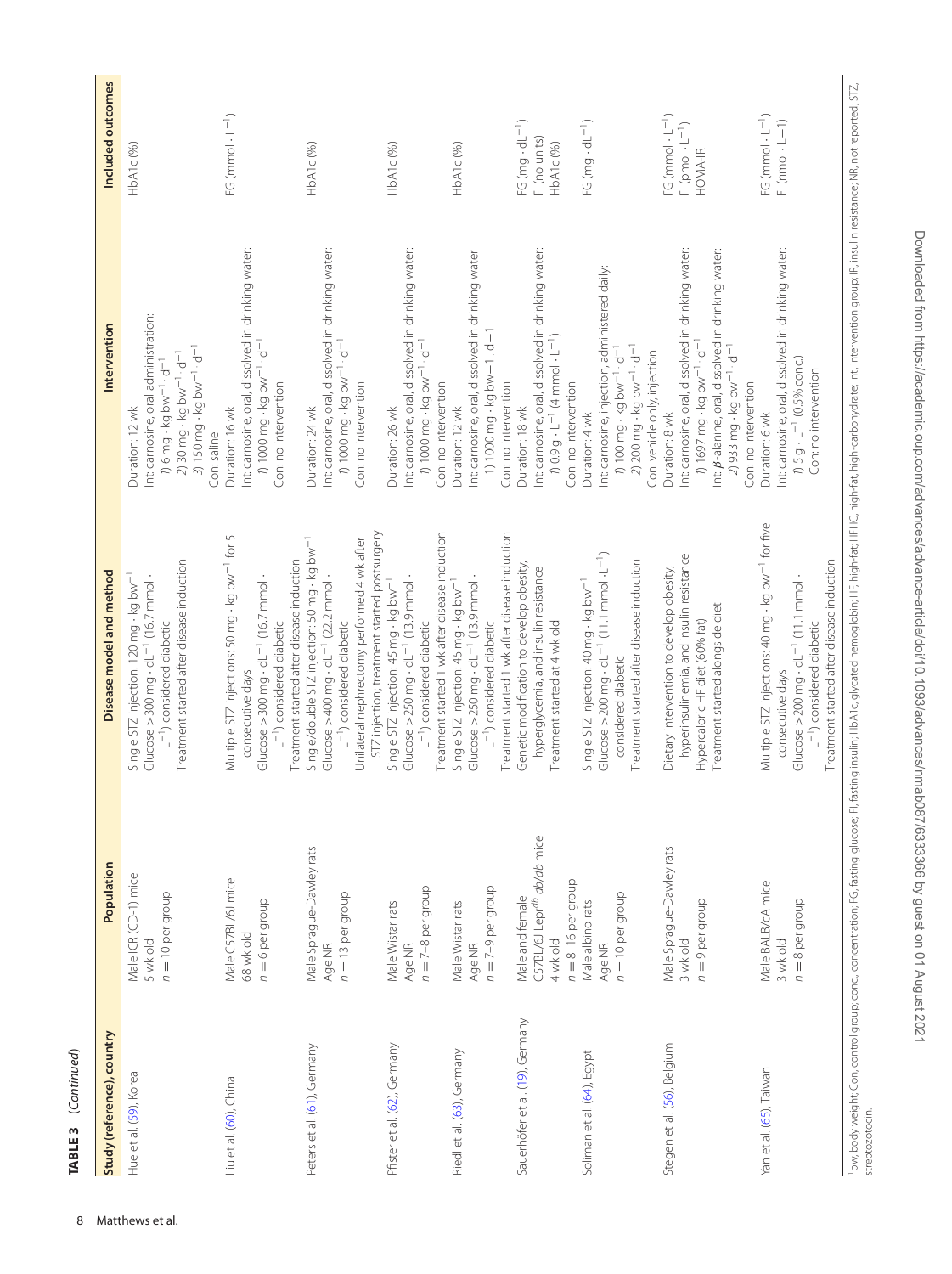<span id="page-7-0"></span>

| ;            |
|--------------|
|              |
| ;<br>;<br>;  |
|              |
|              |
|              |
| m            |
|              |
| <b>TABLL</b> |

| Study (reference), country      | Population                                                                                      | Disease model and method                                                                                                                                                                                                                                        | Intervention                                                                                                                                                                                                                                               | Included outcomes                                                        |
|---------------------------------|-------------------------------------------------------------------------------------------------|-----------------------------------------------------------------------------------------------------------------------------------------------------------------------------------------------------------------------------------------------------------------|------------------------------------------------------------------------------------------------------------------------------------------------------------------------------------------------------------------------------------------------------------|--------------------------------------------------------------------------|
| Hue et al. (59), Korea          | Male ICR (CD-1) mice<br>$n = 10$ per group<br>5 wk old                                          | Treatment started after disease induction<br>Single STZ injection: 120 mg - kg bw <sup>-1</sup><br>Glucose $>300$ mg $\cdot$ dL <sup>-1</sup> (16.7 mmol $\cdot$<br>L <sup>-1</sup> ) considered diabetic                                                       | Int: carnosine, oral administration:<br>3) 150 mg - kg bw <sup>-1</sup> · d <sup>-1</sup><br>$2$ ) 30 mg $\cdot$ kg bw $^{-1} \cdot$ d $^{-1}$<br>$\eta$ 6 mg $\cdot$ kg bw $^{-1} \cdot d^{-1}$<br>Duration: 12 wk<br>Con: saline                         | HbA1c <sup>(96)</sup>                                                    |
| Liu et al. (60), China          | Male C57BL/6J mice<br>$n = 6$ per group<br>68 wk old                                            | Multiple STZ injections: 50 mg · kg bw <sup>-1</sup> for 5<br>Treatment started after disease induction<br>Glucose $>$ 300 mg $\cdot$ dL <sup>-1</sup> (16.7 mmol<br>L <sup>-1</sup> ) considered diabetic<br>consecutive days                                  | Int: carnosine, oral, dissolved in drinking water:<br>1 1000 mg · kg bw <sup>-1</sup> · d <sup>-1</sup><br>Con: no intervention<br>Duration: 16 wk                                                                                                         | $FG (mmol \cdot L^{-1})$                                                 |
| Peters et al. (61), Germany     | Male Sprague-Dawley rats<br>$n = 13$ per group<br>Age NR                                        | STZ injection; treatment started postsurgery<br>Unilateral nephrectomy performed 4 wk after<br>Single/double STZ injection: 50 mg · kg bw <sup>-1</sup><br>Glucose >400 mg $\cdot$ dL <sup>-1</sup> (22.2 mmol $\cdot$<br>L <sup>-1</sup> ) considered diabetic | Int: carnosine, oral, dissolved in drinking water:<br>1 1000 mg · kg bw <sup>-1</sup> · d <sup>-1</sup><br>Con: no intervention<br>Duration: 24 wk                                                                                                         | HbA1c(96)                                                                |
| Pfister et al. (62), Germany    | $n = 7-8$ per group<br>Male Wistar rats<br>Age NR                                               | Treatment started 1 wk after disease induction<br>Glucose $>$ 250 mg $\cdot$ dL <sup>-1</sup> (13.9 mmol $\cdot$<br>Single STZ injection: 45 mg - kg bw-<br>L <sup>-1</sup> ) considered diabetic                                                               | Int: carnosine, oral, dissolved in drinking water:<br>1 1000 mg · kg bw <sup>-1</sup> · d <sup>-1</sup><br>Con: no intervention<br>Duration: 26 wk                                                                                                         | HbA1c(96)                                                                |
| Riedl et al. (63), Germany      | $n = 7-9$ per group<br>Male Wistar rats<br>Age NR                                               | Treatment started 1 wk after disease induction<br>Glucose $>250$ mg $\cdot$ dL <sup>-1</sup> (13.9 mmol $\cdot$<br>Single STZ injection: 45 mg - kg bw <sup>-1</sup><br>L <sup>-1</sup> ) considered diabetic                                                   | Int: carnosine, oral, dissolved in drinking water<br>1) $1000 \text{ mg} \cdot \text{kg}$ bw $-1 \cdot d - 1$<br>Con: no intervention<br>Duration: 12 wk                                                                                                   | HbA1c(%)                                                                 |
| Sauerhöfer et al. (19), Germany | C57BL/6J Lepr <sup>db</sup> db/db mice<br>$n = 8 - 16$ per group<br>Male and female<br>4 wk old | Genetic modification to develop obesity<br>hyperglycemia, and insulin resistance<br>Treatment started at 4 wk old                                                                                                                                               | Int: carnosine, oral, dissolved in drinking water:<br>10.9 g · L <sup>-1</sup> (4 mmol · L <sup>-1</sup> )<br>Con: no intervention<br>Duration: 18 wk                                                                                                      | $FG (mg \cdot dL^{-1})$<br>FI (no units)<br>HbA1c(%)                     |
| Soliman et al. (64), Egypt      | $n = 10$ per group<br>Male albino rats<br>Age NR                                                | Glucose $>$ 200 mg $\cdot$ dL $^{-1}$ (11.1 mmol $\cdot$ L $^{-1}$ )<br>Treatment started after disease induction<br>Single STZ injection: 40 mg · kg bw <sup>- 1</sup><br>considered diabetic                                                                  | Int: carnosine, injection, administered daily:<br>2) 200 mg - kg bw <sup>-1</sup> · d <sup>-1</sup><br>100 mg - kg bw <sup>-1</sup> · d <sup>-1</sup><br>Con: vehicle only, injection<br>Duration: 4 wk                                                    | $FG (mg \cdot dL^{-1})$                                                  |
| Stegen et al. (56), Belgium     | Male Sprague-Dawley rats<br>$n = 9$ per group<br>3 wk old                                       | hyperinsulinemia, and insulin resistance<br>Dietary intervention to develop obesity,<br>Treatment started alongside diet<br>Hypercaloric HF diet (60% fat)                                                                                                      | Int: carnosine, oral, dissolved in drinking water:<br>Int: B-alanine, oral, dissolved in drinking water:<br>1697 mg - kg bw <sup>-1</sup> · d <sup>-1</sup><br>2) 933 mg - kg bw <sup>-1</sup> · d <sup>-1</sup><br>Con: no intervention<br>Duration: 8 wk | $FG(mmol \cdot L^{-1})$<br>FI (pmol $\cdot$ L <sup>-1</sup> )<br>HOMA-IR |
| Yan et al. (65), Taiwan         | Male BALB/cA mice<br>$n = 8$ per group<br>3 wk old                                              | Multiple STZ injections: 40 mg · kg bw <sup>-1</sup> for five<br>Treatment started after disease induction<br>Glucose $>200$ mg $\cdot$ dL <sup>-1</sup> (11.1 mmol<br>L <sup>-1</sup> ) considered diabetic<br>consecutive days                                | Int: carnosine, oral, dissolved in drinking water:<br>1) 5 g · L <sup>-1</sup> (0.5% conc.)<br>Con: no intervention<br>Duration: 6 wk                                                                                                                      | $FG(mmol \cdot L^{-1})$<br>$FI$ (nmol $\cdot$ $L-1$ )                    |

<sup>1</sup>bw, body weight; Con, control group; concentration; FG, fasting glucose; FI, fasting insulin; HbA1c, glycated hemoglobin; HF, high-fat; HFHC, high-fat, high-carbohydrate; Int, intervention group; IR, insulin resistance; lbw, body weight; Con, control group; concentration; FG, fasting glucose; FI, fasting insulin; HBA1c, glycated hemoglobin; HF, high-fat; HF(F, high-fat; high-carbohydrate; Int, intervention group; IR, insulin resistance; N streptozotocin.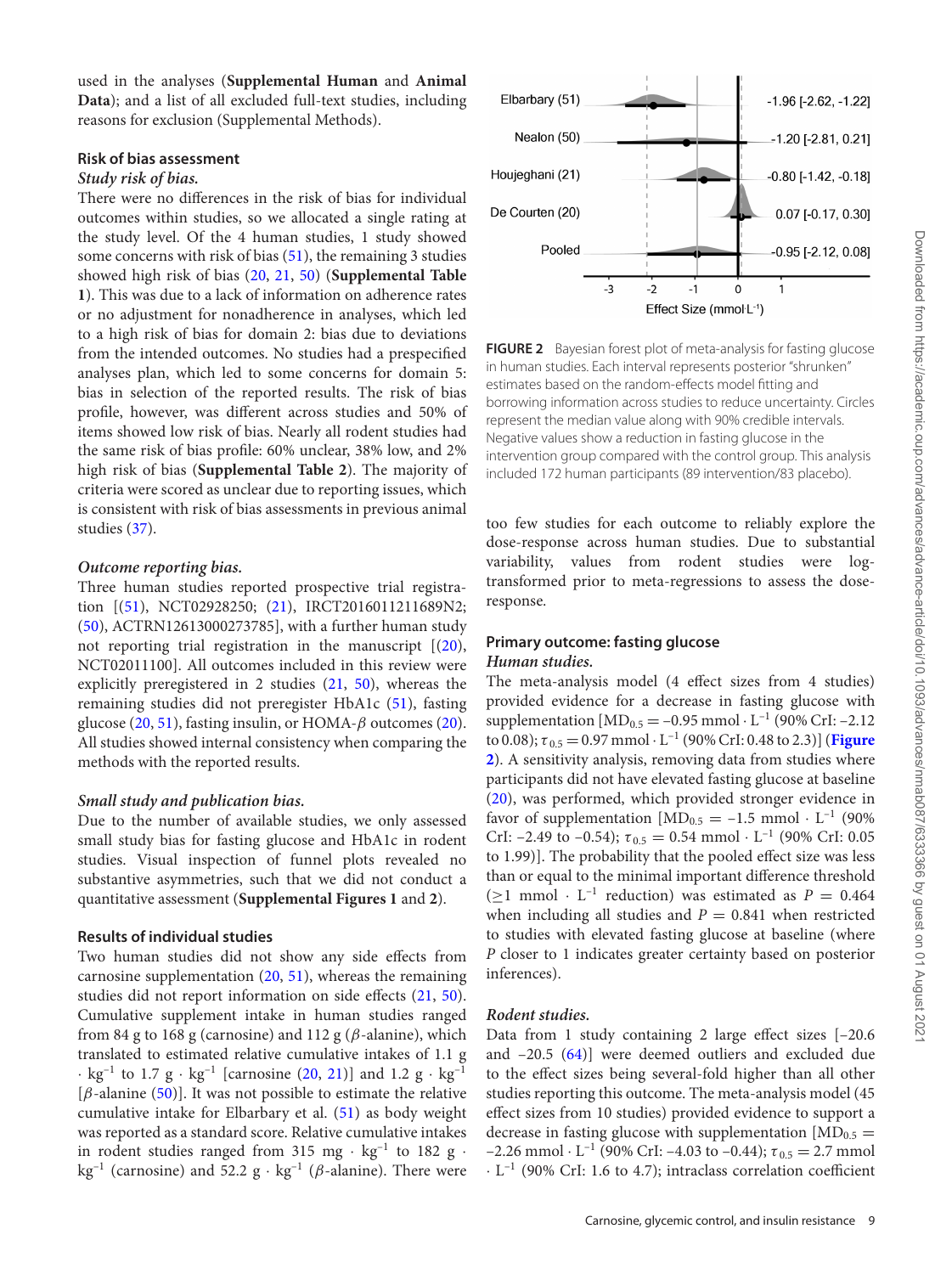used in the analyses (**Supplemental Human** and **Animal Data**); and a list of all excluded full-text studies, including reasons for exclusion (Supplemental Methods).

## **Risk of bias assessment**

### *Study risk of bias.*

There were no differences in the risk of bias for individual outcomes within studies, so we allocated a single rating at the study level. Of the 4 human studies, 1 study showed some concerns with risk of bias [\(51\)](#page-14-23), the remaining 3 studies showed high risk of bias [\(20,](#page-13-16) [21,](#page-13-17) [50\)](#page-14-22) (**Supplemental Table 1**). This was due to a lack of information on adherence rates or no adjustment for nonadherence in analyses, which led to a high risk of bias for domain 2: bias due to deviations from the intended outcomes. No studies had a prespecified analyses plan, which led to some concerns for domain 5: bias in selection of the reported results. The risk of bias profile, however, was different across studies and 50% of items showed low risk of bias. Nearly all rodent studies had the same risk of bias profile: 60% unclear, 38% low, and 2% high risk of bias (**Supplemental Table 2**). The majority of criteria were scored as unclear due to reporting issues, which is consistent with risk of bias assessments in previous animal studies [\(37\)](#page-14-9).

# *Outcome reporting bias.*

Three human studies reported prospective trial registration [[\(51\)](#page-14-23), NCT02928250; [\(21\)](#page-13-17), IRCT2016011211689N2; [\(50\)](#page-14-22), ACTRN12613000273785], with a further human study not reporting trial registration in the manuscript [[\(20\)](#page-14-23), NCT02011100]. All outcomes included in this review were explicitly preregistered in 2 studies [\(21,](#page-13-17) [50\)](#page-14-22), whereas the remaining studies did not preregister HbA1c [\(51\)](#page-14-23), fasting glucose [\(20,](#page-13-16) [51\)](#page-14-23), fasting insulin, or HOMA- $\beta$  outcomes [\(20\)](#page-13-16). All studies showed internal consistency when comparing the methods with the reported results.

# *Small study and publication bias.*

Due to the number of available studies, we only assessed small study bias for fasting glucose and HbA1c in rodent studies. Visual inspection of funnel plots revealed no substantive asymmetries, such that we did not conduct a quantitative assessment (**Supplemental Figures 1** and **2**).

# **Results of individual studies**

Two human studies did not show any side effects from carnosine supplementation  $(20, 51)$  $(20, 51)$  $(20, 51)$ , whereas the remaining studies did not report information on side effects [\(21,](#page-13-17) [50\)](#page-14-22). Cumulative supplement intake in human studies ranged from 84 g to 168 g (carnosine) and 112 g ( $\beta$ -alanine), which translated to estimated relative cumulative intakes of 1.1 g  $\cdot$  kg<sup>-1</sup> to 1.7 g  $\cdot$  kg<sup>-1</sup> [carnosine [\(20,](#page-13-16) [21\)](#page-13-17)] and 1.2 g  $\cdot$  kg<sup>-1</sup> [ $\beta$ -alanine [\(50\)](#page-14-22)]. It was not possible to estimate the relative cumulative intake for Elbarbary et al. [\(51\)](#page-14-23) as body weight was reported as a standard score. Relative cumulative intakes in rodent studies ranged from 315 mg  $\cdot$  kg<sup>-1</sup> to 182 g  $\cdot$ kg<sup>-1</sup> (carnosine) and 52.2 g · kg<sup>-1</sup> ( $\beta$ -alanine). There were

<span id="page-8-0"></span>

**FIGURE 2** Bayesian forest plot of meta-analysis for fasting glucose in human studies. Each interval represents posterior "shrunken" estimates based on the random-effects model fitting and borrowing information across studies to reduce uncertainty. Circles represent the median value along with 90% credible intervals. Negative values show a reduction in fasting glucose in the intervention group compared with the control group. This analysis included 172 human participants (89 intervention/83 placebo).

too few studies for each outcome to reliably explore the dose-response across human studies. Due to substantial variability, values from rodent studies were logtransformed prior to meta-regressions to assess the doseresponse.

# **Primary outcome: fasting glucose** *Human studies.*

The meta-analysis model (4 effect sizes from 4 studies) provided evidence for a decrease in fasting glucose with supplementation  $[MD_{0.5} = -0.95$  mmol  $\cdot$  L<sup>-1</sup> (90% CrI: -2.12) to 0.08);  $\tau_{0.5} = 0.97$  mmol  $\cdot$  L<sup>-1</sup> (90% CrI: 0.48 to 2.3)] (**Figure 2**[\). A sensitivity analysis, removing data from studies where](#page-8-0) participants did not have elevated fasting glucose at baseline [\(20\)](#page-13-16), was performed, which provided stronger evidence in favor of supplementation  $[MD_{0.5} = -1.5$  mmol  $\cdot$  L<sup>-1</sup> (90%) CrI: –2.49 to –0.54);  $\tau_{0.5} = 0.54$  mmol  $\cdot$  L<sup>-1</sup> (90% CrI: 0.05 to 1.99)]. The probability that the pooled effect size was less than or equal to the minimal important difference threshold ( $>1$  mmol  $\cdot$  L<sup>-1</sup> reduction) was estimated as  $P = 0.464$ when including all studies and  $P = 0.841$  when restricted to studies with elevated fasting glucose at baseline (where *P* closer to 1 indicates greater certainty based on posterior inferences).

# *Rodent studies.*

Data from 1 study containing 2 large effect sizes [–20.6 and –20.5 [\(64\)](#page-15-2)] were deemed outliers and excluded due to the effect sizes being several-fold higher than all other studies reporting this outcome. The meta-analysis model (45 effect sizes from 10 studies) provided evidence to support a decrease in fasting glucose with supplementation  $[MD_{0.5}$  = –2.26 mmol  $\cdot$  L<sup>-1</sup> (90% CrI: –4.03 to –0.44);  $\tau_{0.5} = 2.7$  mmol  $\cdot$  L<sup>-1</sup> (90% CrI: 1.6 to 4.7); intraclass correlation coefficient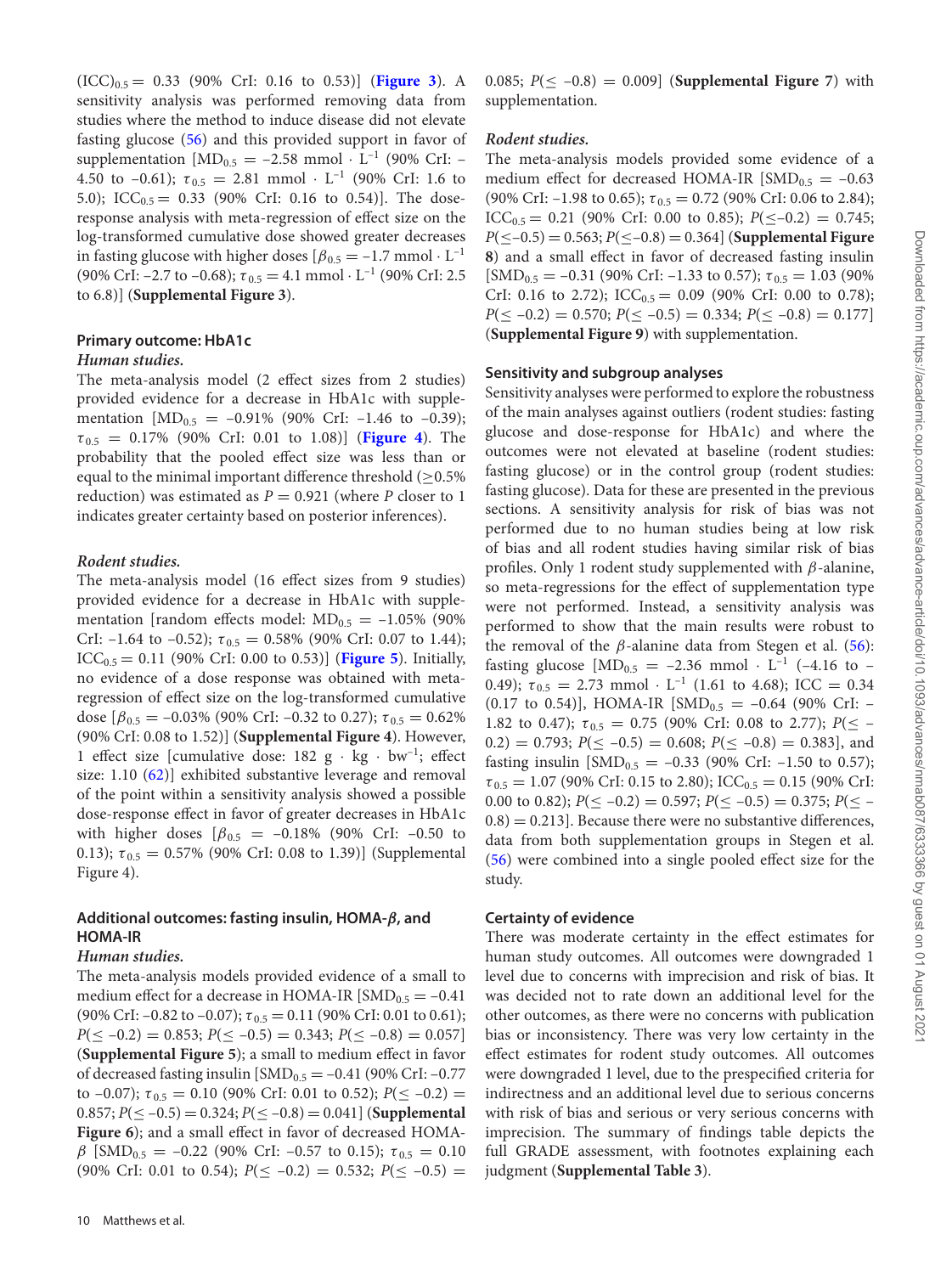$(ICC)_{0.5} = 0.33$  (90% CrI: 0.16 to 0.53)] (**[Figure 3](#page-10-0)**). A sensitivity analysis was performed removing data from studies where the method to induce disease did not elevate fasting glucose [\(56\)](#page-14-34) and this provided support in favor of supplementation  $[MD_{0.5} = -2.58$  mmol  $\cdot$  L<sup>-1</sup> (90% CrI: – 4.50 to –0.61);  $\tau_{0.5} = 2.81$  mmol  $\cdot$  L<sup>-1</sup> (90% CrI: 1.6 to 5.0); ICC<sub>0.5</sub> = 0.33 (90% CrI: 0.16 to 0.54)]. The doseresponse analysis with meta-regression of effect size on the log-transformed cumulative dose showed greater decreases in fasting glucose with higher doses  $\beta_{0.5} = -1.7$  mmol  $\cdot$  L<sup>-1</sup> (90% CrI: –2.7 to –0.68);  $\tau_{0.5} = 4.1$  mmol  $\cdot$  L<sup>-1</sup> (90% CrI: 2.5) to 6.8)] (**Supplemental Figure 3**).

## **Primary outcome: HbA1c** *Human studies.*

The meta-analysis model (2 effect sizes from 2 studies) provided evidence for a decrease in HbA1c with supplementation  $[MD_{0.5} = -0.91\%$  (90% CrI: -1.46 to -0.39);  $\tau_{0.5}$  = 0.17% (90% CrI: 0.01 to 1.08)] (**[Figure 4](#page-10-1)**). The probability that the pooled effect size was less than or equal to the minimal important difference threshold ( $\geq$ 0.5% reduction) was estimated as *P* = 0.921 (where *P* closer to 1 indicates greater certainty based on posterior inferences).

#### *Rodent studies.*

The meta-analysis model (16 effect sizes from 9 studies) provided evidence for a decrease in HbA1c with supplementation [random effects model:  $MD_{0.5} = -1.05\%$  (90%) CrI:  $-1.64$  to  $-0.52$ );  $\tau_{0.5} = 0.58\%$  (90% CrI: 0.07 to 1.44);  $ICC_{0.5} = 0.11$  (90% CrI: 0.00 to 0.53)] (**[Figure 5](#page-11-0)**). Initially, no evidence of a dose response was obtained with metaregression of effect size on the log-transformed cumulative dose  $\left[\beta_{0.5} = -0.03\% \right]$  (90% CrI: -0.32 to 0.27);  $\tau_{0.5} = 0.62\%$ (90% CrI: 0.08 to 1.52)] (**Supplemental Figure 4**). However, 1 effect size [cumulative dose:  $182 \text{ g} \cdot \text{kg} \cdot \text{bw}^{-1}$ ; effect size: 1.10 [\(62\)](#page-14-34)] exhibited substantive leverage and removal of the point within a sensitivity analysis showed a possible dose-response effect in favor of greater decreases in HbA1c with higher doses  $\beta_{0.5} = -0.18\%$  (90% CrI: -0.50 to 0.13);  $\tau_{0.5} = 0.57\%$  (90% CrI: 0.08 to 1.39)] (Supplemental Figure 4).

# **Additional outcomes: fasting insulin, HOMA-***β***, and HOMA-IR**

# *Human studies.*

The meta-analysis models provided evidence of a small to medium effect for a decrease in HOMA-IR  $[SMD_{0.5} = -0.41]$ (90% CrI:  $-0.82$  to  $-0.07$ );  $\tau_{0.5} = 0.11$  (90% CrI: 0.01 to 0.61);  $P(\leq -0.2) = 0.853$ ;  $P(\leq -0.5) = 0.343$ ;  $P(\leq -0.8) = 0.057$ ] (**Supplemental Figure 5**); a small to medium effect in favor of decreased fasting insulin  $[MD_{0.5} = -0.41$  (90% CrI: -0.77 to –0.07);  $\tau_{0.5} = 0.10$  (90% CrI: 0.01 to 0.52);  $P(\leq -0.2) =$  $0.857; P(\leq -0.5) = 0.324; P(\leq -0.8) = 0.041$  (**Supplemental Figure 6**); and a small effect in favor of decreased HOMAβ [SMD<sub>0.5</sub> = -0.22 (90% CrI: -0.57 to 0.15);  $\tau_{0.5}$  = 0.10  $(90\% \text{ CrI: } 0.01 \text{ to } 0.54); P(\leq -0.2) = 0.532; P(\leq -0.5) =$ 

0.085;  $P(\leq -0.8) = 0.009$  (**Supplemental Figure 7**) with supplementation.

# *Rodent studies.*

The meta-analysis models provided some evidence of a medium effect for decreased HOMA-IR  $[SMD_{0.5} = -0.63]$ (90% CrI: –1.98 to 0.65);  $\tau_{0.5} = 0.72$  (90% CrI: 0.06 to 2.84); ICC<sub>0.5</sub> = 0.21 (90% CrI: 0.00 to 0.85);  $P(\leq -0.2) = 0.745$ ; *P*(≤–0.5) = 0.563; *P*(≤–0.8) = 0.364] (**Supplemental Figure 8**) and a small effect in favor of decreased fasting insulin  $[SMD_{0.5} = -0.31$  (90% CrI: -1.33 to 0.57);  $\tau_{0.5} = 1.03$  (90%) CrI: 0.16 to 2.72); ICC<sub>0.5</sub> = 0.09 (90% CrI: 0.00 to 0.78);  $P(\leq -0.2) = 0.570$ ;  $P(\leq -0.5) = 0.334$ ;  $P(\leq -0.8) = 0.177$ (**Supplemental Figure 9**) with supplementation.

#### **Sensitivity and subgroup analyses**

Sensitivity analyses were performed to explore the robustness of the main analyses against outliers (rodent studies: fasting glucose and dose-response for HbA1c) and where the outcomes were not elevated at baseline (rodent studies: fasting glucose) or in the control group (rodent studies: fasting glucose). Data for these are presented in the previous sections. A sensitivity analysis for risk of bias was not performed due to no human studies being at low risk of bias and all rodent studies having similar risk of bias profiles. Only 1 rodent study supplemented with  $\beta$ -alanine, so meta-regressions for the effect of supplementation type were not performed. Instead, a sensitivity analysis was performed to show that the main results were robust to the removal of the  $\beta$ -alanine data from Stegen et al. [\(56\)](#page-14-34): fasting glucose  $[MD_{0.5} = -2.36 \text{ mmol} \cdot L^{-1} (-4.16 \text{ to } -1)$ 0.49);  $\tau_{0.5} = 2.73$  mmol  $\cdot$  L<sup>-1</sup> (1.61 to 4.68); ICC = 0.34 (0.17 to 0.54)], HOMA-IR  $[SMD_{0.5} = -0.64$  (90% CrI: -1.82 to 0.47);  $\tau_{0.5} = 0.75$  (90% CrI: 0.08 to 2.77);  $P(\leq -1)$  $(0.2) = 0.793$ ;  $P(\leq -0.5) = 0.608$ ;  $P(\leq -0.8) = 0.383$ , and fasting insulin  $[MD_{0.5} = -0.33$  (90% CrI: -1.50 to 0.57);  $\tau_{0.5} = 1.07$  (90% CrI: 0.15 to 2.80); ICC<sub>0.5</sub> = 0.15 (90% CrI: 0.00 to 0.82);  $P(\le -0.2) = 0.597$ ;  $P(\le -0.5) = 0.375$ ;  $P(\le -0.5) = 0.375$  $(0.8) = 0.213$ . Because there were no substantive differences, data from both supplementation groups in Stegen et al. [\(56\)](#page-14-34) were combined into a single pooled effect size for the study.

# **Certainty of evidence**

There was moderate certainty in the effect estimates for human study outcomes. All outcomes were downgraded 1 level due to concerns with imprecision and risk of bias. It was decided not to rate down an additional level for the other outcomes, as there were no concerns with publication bias or inconsistency. There was very low certainty in the effect estimates for rodent study outcomes. All outcomes were downgraded 1 level, due to the prespecified criteria for indirectness and an additional level due to serious concerns with risk of bias and serious or very serious concerns with imprecision. The summary of findings table depicts the full GRADE assessment, with footnotes explaining each judgment (**Supplemental Table 3**).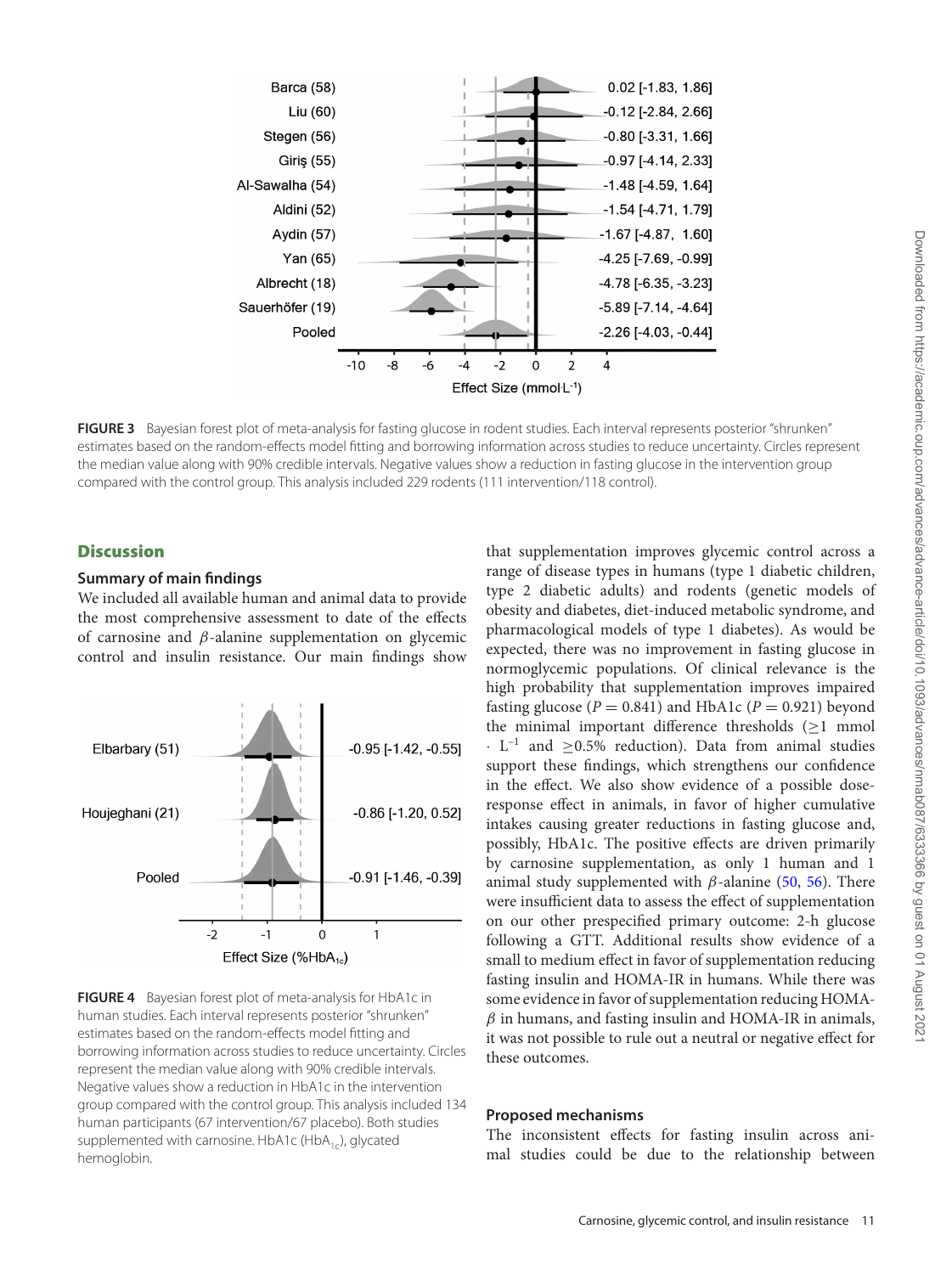<span id="page-10-0"></span>

**FIGURE 3** Bayesian forest plot of meta-analysis for fasting glucose in rodent studies. Each interval represents posterior "shrunken" estimates based on the random-effects model fitting and borrowing information across studies to reduce uncertainty. Circles represent the median value along with 90% credible intervals. Negative values show a reduction in fasting glucose in the intervention group compared with the control group. This analysis included 229 rodents (111 intervention/118 control).

# **Discussion**

# **Summary of main findings**

We included all available human and animal data to provide the most comprehensive assessment to date of the effects of carnosine and  $\beta$ -alanine supplementation on glycemic control and insulin resistance. Our main findings show

<span id="page-10-1"></span>

**FIGURE 4** Bayesian forest plot of meta-analysis for HbA1c in human studies. Each interval represents posterior "shrunken" estimates based on the random-effects model fitting and borrowing information across studies to reduce uncertainty. Circles represent the median value along with 90% credible intervals. Negative values show a reduction in HbA1c in the intervention group compared with the control group. This analysis included 134 human participants (67 intervention/67 placebo). Both studies supplemented with carnosine. HbA1c (HbA $_{1c}$ ), glycated hemoglobin.

that supplementation improves glycemic control across a range of disease types in humans (type 1 diabetic children, type 2 diabetic adults) and rodents (genetic models of obesity and diabetes, diet-induced metabolic syndrome, and pharmacological models of type 1 diabetes). As would be expected, there was no improvement in fasting glucose in normoglycemic populations. Of clinical relevance is the high probability that supplementation improves impaired fasting glucose  $(P = 0.841)$  and HbA1c  $(P = 0.921)$  beyond the minimal important difference thresholds  $(\geq 1 \text{ mmol})$  $\cdot$  L<sup>-1</sup> and  $\geq$ 0.5% reduction). Data from animal studies support these findings, which strengthens our confidence in the effect. We also show evidence of a possible doseresponse effect in animals, in favor of higher cumulative intakes causing greater reductions in fasting glucose and, possibly, HbA1c. The positive effects are driven primarily by carnosine supplementation, as only 1 human and 1 animal study supplemented with  $β$ -alanine [\(50,](#page-14-22) [56\)](#page-14-34). There were insufficient data to assess the effect of supplementation on our other prespecified primary outcome: 2-h glucose following a GTT. Additional results show evidence of a small to medium effect in favor of supplementation reducing fasting insulin and HOMA-IR in humans. While there was some evidence in favor of supplementation reducing HOMA- $\beta$  in humans, and fasting insulin and HOMA-IR in animals, it was not possible to rule out a neutral or negative effect for these outcomes.

# **Proposed mechanisms**

The inconsistent effects for fasting insulin across animal studies could be due to the relationship between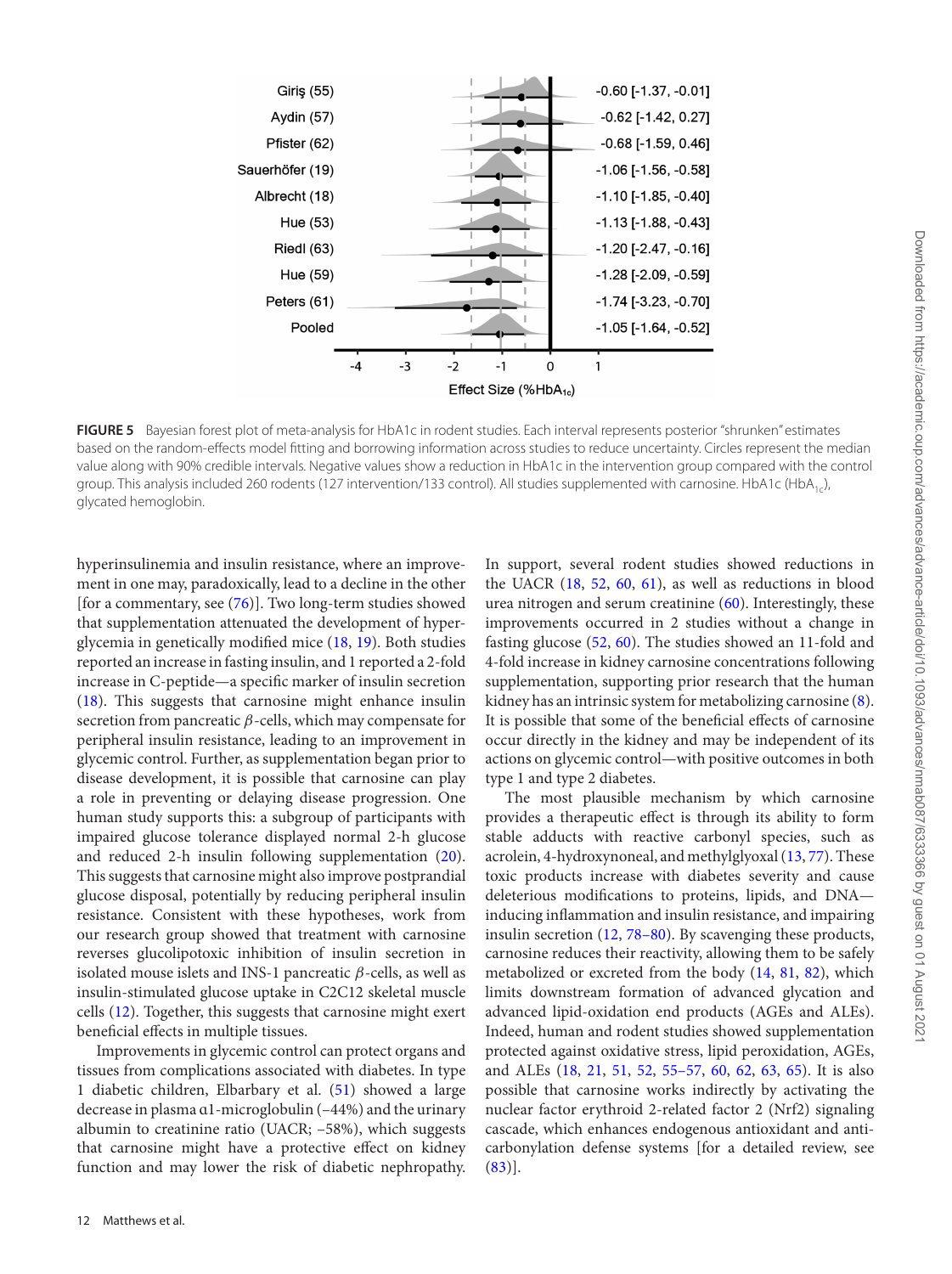<span id="page-11-0"></span>

**FIGURE 5** Bayesian forest plot of meta-analysis for HbA1c in rodent studies. Each interval represents posterior "shrunken" estimates based on the random-effects model fitting and borrowing information across studies to reduce uncertainty. Circles represent the median value along with 90% credible intervals. Negative values show a reduction in HbA1c in the intervention group compared with the control group. This analysis included 260 rodents (127 intervention/133 control). All studies supplemented with carnosine. HbA1c (HbA1c), glycated hemoglobin.

hyperinsulinemia and insulin resistance, where an improvement in one may, paradoxically, lead to a decline in the other [for a commentary, see [\(76\)](#page-15-4)]. Two long-term studies showed that supplementation attenuated the development of hyperglycemia in genetically modified mice [\(18,](#page-13-14) [19\)](#page-13-15). Both studies reported an increase in fasting insulin, and 1 reported a 2-fold increase in C-peptide—a specific marker of insulin secretion [\(18\)](#page-13-14). This suggests that carnosine might enhance insulin secretion from pancreatic  $\beta$ -cells, which may compensate for peripheral insulin resistance, leading to an improvement in glycemic control. Further, as supplementation began prior to disease development, it is possible that carnosine can play a role in preventing or delaying disease progression. One human study supports this: a subgroup of participants with impaired glucose tolerance displayed normal 2-h glucose and reduced 2-h insulin following supplementation [\(20\)](#page-13-16). This suggests that carnosine might also improve postprandial glucose disposal, potentially by reducing peripheral insulin resistance. Consistent with these hypotheses, work from our research group showed that treatment with carnosine reverses glucolipotoxic inhibition of insulin secretion in isolated mouse islets and INS-1 pancreatic  $β$ -cells, as well as insulin-stimulated glucose uptake in C2C12 skeletal muscle cells [\(12\)](#page-13-8). Together, this suggests that carnosine might exert beneficial effects in multiple tissues.

Improvements in glycemic control can protect organs and tissues from complications associated with diabetes. In type 1 diabetic children, Elbarbary et al. [\(51\)](#page-14-23) showed a large decrease in plasma ɑ1-microglobulin (–44%) and the urinary albumin to creatinine ratio (UACR; –58%), which suggests that carnosine might have a protective effect on kidney function and may lower the risk of diabetic nephropathy. In support, several rodent studies showed reductions in the UACR [\(18,](#page-13-14) [52,](#page-14-24) [60,](#page-14-32) [61\)](#page-14-33), as well as reductions in blood urea nitrogen and serum creatinine  $(60)$ . Interestingly, these improvements occurred in 2 studies without a change in fasting glucose [\(52,](#page-14-24) [60\)](#page-14-32). The studies showed an 11-fold and 4-fold increase in kidney carnosine concentrations following supplementation, supporting prior research that the human kidney has an intrinsic system for metabolizing carnosine [\(8\)](#page-13-21). It is possible that some of the beneficial effects of carnosine occur directly in the kidney and may be independent of its actions on glycemic control—with positive outcomes in both type 1 and type 2 diabetes.

The most plausible mechanism by which carnosine provides a therapeutic effect is through its ability to form stable adducts with reactive carbonyl species, such as acrolein, 4-hydroxynoneal, and methylglyoxal [\(13,](#page-13-9) [77\)](#page-15-5). These toxic products increase with diabetes severity and cause deleterious modifications to proteins, lipids, and DNA inducing inflammation and insulin resistance, and impairing insulin secretion [\(12,](#page-13-8) [78–80\)](#page-15-6). By scavenging these products, carnosine reduces their reactivity, allowing them to be safely metabolized or excreted from the body [\(14,](#page-13-10) [81,](#page-15-7) [82\)](#page-15-8), which limits downstream formation of advanced glycation and advanced lipid-oxidation end products (AGEs and ALEs). Indeed, human and rodent studies showed supplementation protected against oxidative stress, lipid peroxidation, AGEs, and ALEs [\(18,](#page-13-14) [21,](#page-13-17) [51,](#page-14-23) [52,](#page-14-24) [55–57,](#page-14-31) [60,](#page-14-32) [62,](#page-14-28) [63,](#page-15-1) [65\)](#page-15-3). It is also possible that carnosine works indirectly by activating the nuclear factor erythroid 2-related factor 2 (Nrf2) signaling cascade, which enhances endogenous antioxidant and anticarbonylation defense systems [for a detailed review, see  $(83)$ ].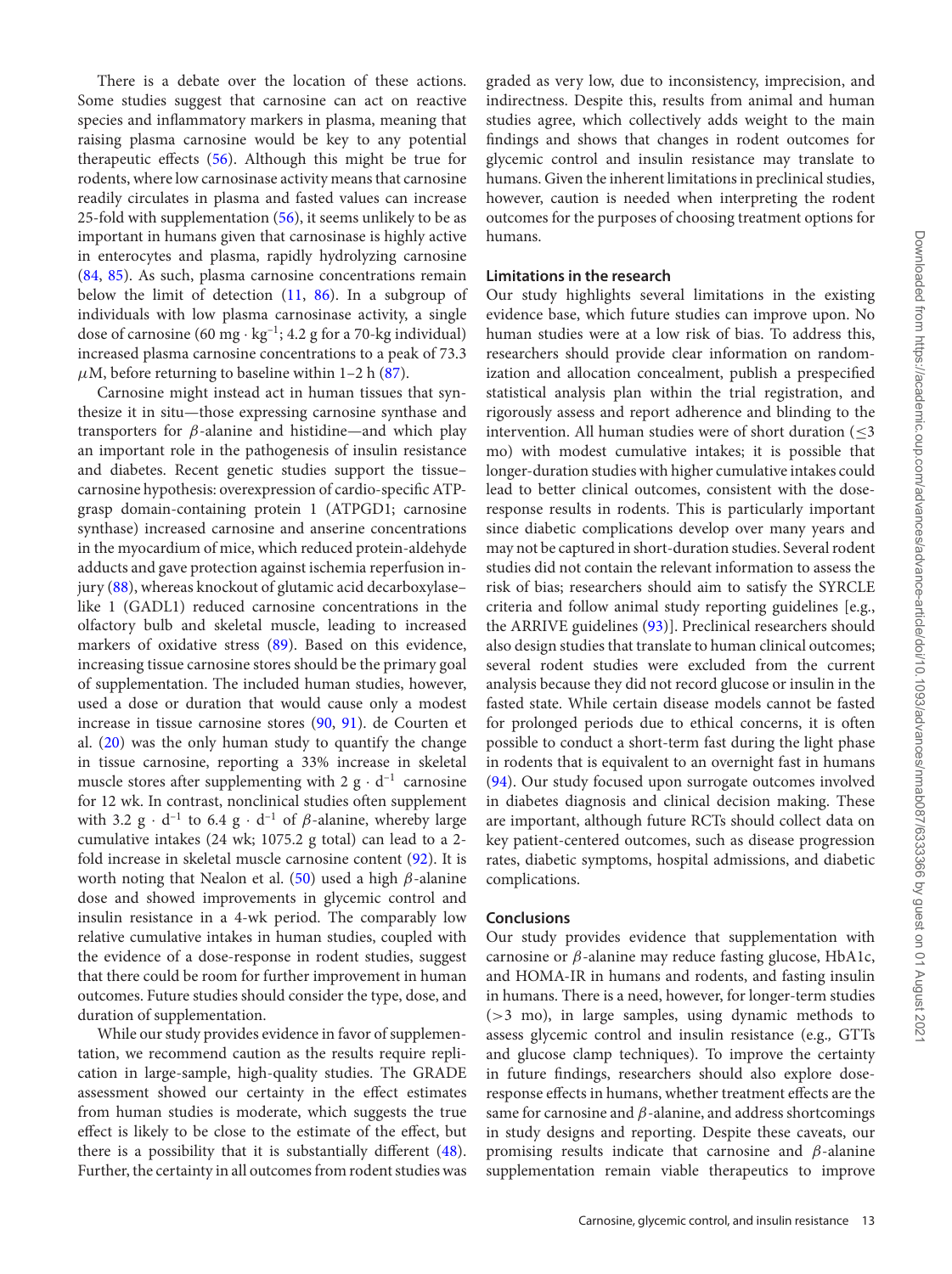There is a debate over the location of these actions. Some studies suggest that carnosine can act on reactive species and inflammatory markers in plasma, meaning that raising plasma carnosine would be key to any potential therapeutic effects [\(56\)](#page-14-34). Although this might be true for rodents, where low carnosinase activity means that carnosine readily circulates in plasma and fasted values can increase 25-fold with supplementation [\(56\)](#page-14-34), it seems unlikely to be as important in humans given that carnosinase is highly active in enterocytes and plasma, rapidly hydrolyzing carnosine [\(84,](#page-15-10) [85\)](#page-15-11). As such, plasma carnosine concentrations remain below the limit of detection [\(11,](#page-13-7) [86\)](#page-15-12). In a subgroup of individuals with low plasma carnosinase activity, a single dose of carnosine (60 mg  $\cdot$  kg<sup>-1</sup>; 4.2 g for a 70-kg individual) increased plasma carnosine concentrations to a peak of 73.3  $\mu$ M, before returning to baseline within 1–2 h [\(87\)](#page-15-13).

Carnosine might instead act in human tissues that synthesize it in situ—those expressing carnosine synthase and transporters for β-alanine and histidine—and which play an important role in the pathogenesis of insulin resistance and diabetes. Recent genetic studies support the tissue– carnosine hypothesis: overexpression of cardio-specific ATPgrasp domain-containing protein 1 (ATPGD1; carnosine synthase) increased carnosine and anserine concentrations in the myocardium of mice, which reduced protein-aldehyde adducts and gave protection against ischemia reperfusion injury [\(88\)](#page-15-14), whereas knockout of glutamic acid decarboxylase– like 1 (GADL1) reduced carnosine concentrations in the olfactory bulb and skeletal muscle, leading to increased markers of oxidative stress [\(89\)](#page-15-15). Based on this evidence, increasing tissue carnosine stores should be the primary goal of supplementation. The included human studies, however, used a dose or duration that would cause only a modest increase in tissue carnosine stores [\(90,](#page-15-16) [91\)](#page-15-17). de Courten et al. [\(20\)](#page-13-16) was the only human study to quantify the change in tissue carnosine, reporting a 33% increase in skeletal muscle stores after supplementing with  $2 \text{ g} \cdot \text{d}^{-1}$  carnosine for 12 wk. In contrast, nonclinical studies often supplement with 3.2 g  $\cdot$  d<sup>-1</sup> to 6.4 g  $\cdot$  d<sup>-1</sup> of  $\beta$ -alanine, whereby large cumulative intakes (24 wk; 1075.2 g total) can lead to a 2 fold increase in skeletal muscle carnosine content [\(92\)](#page-15-18). It is worth noting that Nealon et al. [\(50\)](#page-14-22) used a high  $\beta$ -alanine dose and showed improvements in glycemic control and insulin resistance in a 4-wk period. The comparably low relative cumulative intakes in human studies, coupled with the evidence of a dose-response in rodent studies, suggest that there could be room for further improvement in human outcomes. Future studies should consider the type, dose, and duration of supplementation.

While our study provides evidence in favor of supplementation, we recommend caution as the results require replication in large-sample, high-quality studies. The GRADE assessment showed our certainty in the effect estimates from human studies is moderate, which suggests the true effect is likely to be close to the estimate of the effect, but there is a possibility that it is substantially different [\(48\)](#page-14-20). Further, the certainty in all outcomes from rodent studies was graded as very low, due to inconsistency, imprecision, and indirectness. Despite this, results from animal and human studies agree, which collectively adds weight to the main findings and shows that changes in rodent outcomes for glycemic control and insulin resistance may translate to humans. Given the inherent limitations in preclinical studies, however, caution is needed when interpreting the rodent outcomes for the purposes of choosing treatment options for humans.

# **Limitations in the research**

Our study highlights several limitations in the existing evidence base, which future studies can improve upon. No human studies were at a low risk of bias. To address this, researchers should provide clear information on randomization and allocation concealment, publish a prespecified statistical analysis plan within the trial registration, and rigorously assess and report adherence and blinding to the intervention. All human studies were of short duration  $(\leq 3)$ mo) with modest cumulative intakes; it is possible that longer-duration studies with higher cumulative intakes could lead to better clinical outcomes, consistent with the doseresponse results in rodents. This is particularly important since diabetic complications develop over many years and may not be captured in short-duration studies. Several rodent studies did not contain the relevant information to assess the risk of bias; researchers should aim to satisfy the SYRCLE criteria and follow animal study reporting guidelines [e.g., the ARRIVE guidelines [\(93\)](#page-15-19)]. Preclinical researchers should also design studies that translate to human clinical outcomes; several rodent studies were excluded from the current analysis because they did not record glucose or insulin in the fasted state. While certain disease models cannot be fasted for prolonged periods due to ethical concerns, it is often possible to conduct a short-term fast during the light phase in rodents that is equivalent to an overnight fast in humans [\(94\)](#page-15-20). Our study focused upon surrogate outcomes involved in diabetes diagnosis and clinical decision making. These are important, although future RCTs should collect data on key patient-centered outcomes, such as disease progression rates, diabetic symptoms, hospital admissions, and diabetic complications.

# **Conclusions**

Our study provides evidence that supplementation with carnosine or  $\beta$ -alanine may reduce fasting glucose, HbA1c, and HOMA-IR in humans and rodents, and fasting insulin in humans. There is a need, however, for longer-term studies (>3 mo), in large samples, using dynamic methods to assess glycemic control and insulin resistance (e.g.*,* GTTs and glucose clamp techniques). To improve the certainty in future findings, researchers should also explore doseresponse effects in humans, whether treatment effects are the same for carnosine and  $\beta$ -alanine, and address shortcomings in study designs and reporting. Despite these caveats, our promising results indicate that carnosine and  $β$ -alanine supplementation remain viable therapeutics to improve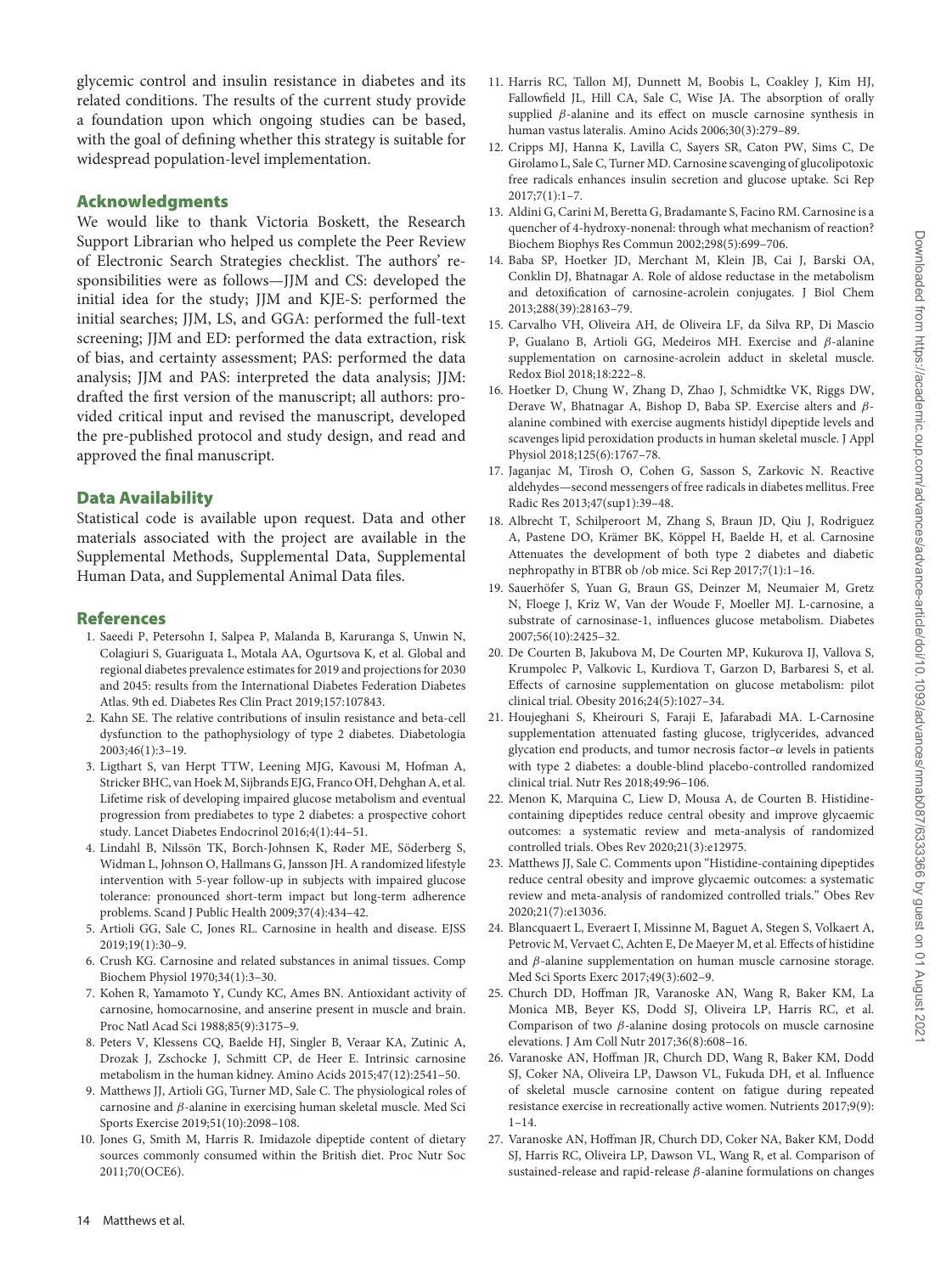glycemic control and insulin resistance in diabetes and its related conditions. The results of the current study provide a foundation upon which ongoing studies can be based, with the goal of defining whether this strategy is suitable for widespread population-level implementation.

## **Acknowledgments**

We would like to thank Victoria Boskett, the Research Support Librarian who helped us complete the Peer Review of Electronic Search Strategies checklist. The authors' responsibilities were as follows—JJM and CS: developed the initial idea for the study; JJM and KJE-S: performed the initial searches; JJM, LS, and GGA: performed the full-text screening; JJM and ED: performed the data extraction, risk of bias, and certainty assessment; PAS: performed the data analysis; JJM and PAS: interpreted the data analysis; JJM: drafted the first version of the manuscript; all authors: provided critical input and revised the manuscript, developed the pre-published protocol and study design, and read and approved the final manuscript.

# **Data Availability**

Statistical code is available upon request. Data and other materials associated with the project are available in the Supplemental Methods, Supplemental Data, Supplemental Human Data, and Supplemental Animal Data files.

#### **References**

- <span id="page-13-0"></span>1. Saeedi P, Petersohn I, Salpea P, Malanda B, Karuranga S, Unwin N, Colagiuri S, Guariguata L, Motala AA, Ogurtsova K, et al. Global and regional diabetes prevalence estimates for 2019 and projections for 2030 and 2045: results from the International Diabetes Federation Diabetes Atlas. 9th ed. Diabetes Res Clin Pract 2019;157:107843.
- <span id="page-13-1"></span>2. Kahn SE. The relative contributions of insulin resistance and beta-cell dysfunction to the pathophysiology of type 2 diabetes. Diabetologia 2003;46(1):3–19.
- <span id="page-13-2"></span>3. Ligthart S, van Herpt TTW, Leening MJG, Kavousi M, Hofman A, Stricker BHC, van Hoek M, Sijbrands EJG, Franco OH, Dehghan A, et al. Lifetime risk of developing impaired glucose metabolism and eventual progression from prediabetes to type 2 diabetes: a prospective cohort study. Lancet Diabetes Endocrinol 2016;4(1):44–51.
- <span id="page-13-3"></span>4. Lindahl B, Nilssön TK, Borch-Johnsen K, Røder ME, Söderberg S, Widman L, Johnson O, Hallmans G, Jansson JH. A randomized lifestyle intervention with 5-year follow-up in subjects with impaired glucose tolerance: pronounced short-term impact but long-term adherence problems. Scand J Public Health 2009;37(4):434–42.
- <span id="page-13-4"></span>5. Artioli GG, Sale C, Jones RL. Carnosine in health and disease. EJSS 2019;19(1):30–9.
- <span id="page-13-5"></span>6. Crush KG. Carnosine and related substances in animal tissues. Comp Biochem Physiol 1970;34(1):3–30.
- 7. Kohen R, Yamamoto Y, Cundy KC, Ames BN. Antioxidant activity of carnosine, homocarnosine, and anserine present in muscle and brain. Proc Natl Acad Sci 1988;85(9):3175–9.
- <span id="page-13-21"></span>8. Peters V, Klessens CQ, Baelde HJ, Singler B, Veraar KA, Zutinic A, Drozak J, Zschocke J, Schmitt CP, de Heer E. Intrinsic carnosine metabolism in the human kidney. Amino Acids 2015;47(12):2541–50.
- 9. Matthews JJ, Artioli GG, Turner MD, Sale C. The physiological roles of carnosine and β-alanine in exercising human skeletal muscle. Med Sci Sports Exercise 2019;51(10):2098–108.
- <span id="page-13-6"></span>10. Jones G, Smith M, Harris R. Imidazole dipeptide content of dietary sources commonly consumed within the British diet. Proc Nutr Soc 2011;70(OCE6).
- <span id="page-13-7"></span>11. Harris RC, Tallon MJ, Dunnett M, Boobis L, Coakley J, Kim HJ, Fallowfield JL, Hill CA, Sale C, Wise JA. The absorption of orally supplied  $\beta$ -alanine and its effect on muscle carnosine synthesis in human vastus lateralis. Amino Acids 2006;30(3):279–89.
- <span id="page-13-8"></span>12. Cripps MJ, Hanna K, Lavilla C, Sayers SR, Caton PW, Sims C, De Girolamo L, Sale C, Turner MD. Carnosine scavenging of glucolipotoxic free radicals enhances insulin secretion and glucose uptake. Sci Rep 2017;7(1):1–7.
- <span id="page-13-9"></span>13. Aldini G, Carini M, Beretta G, Bradamante S, Facino RM. Carnosine is a quencher of 4-hydroxy-nonenal: through what mechanism of reaction? Biochem Biophys Res Commun 2002;298(5):699–706.
- <span id="page-13-10"></span>14. Baba SP, Hoetker JD, Merchant M, Klein JB, Cai J, Barski OA, Conklin DJ, Bhatnagar A. Role of aldose reductase in the metabolism and detoxification of carnosine-acrolein conjugates. J Biol Chem 2013;288(39):28163–79.
- <span id="page-13-11"></span>15. Carvalho VH, Oliveira AH, de Oliveira LF, da Silva RP, Di Mascio P, Gualano B, Artioli GG, Medeiros MH. Exercise and β-alanine supplementation on carnosine-acrolein adduct in skeletal muscle. Redox Biol 2018;18:222–8.
- <span id="page-13-12"></span>16. Hoetker D, Chung W, Zhang D, Zhao J, Schmidtke VK, Riggs DW, Derave W, Bhatnagar A, Bishop D, Baba SP. Exercise alters and βalanine combined with exercise augments histidyl dipeptide levels and scavenges lipid peroxidation products in human skeletal muscle. J Appl Physiol 2018;125(6):1767–78.
- <span id="page-13-13"></span>17. Jaganjac M, Tirosh O, Cohen G, Sasson S, Zarkovic N. Reactive aldehydes—second messengers of free radicals in diabetes mellitus. Free Radic Res 2013;47(sup1):39–48.
- <span id="page-13-14"></span>18. Albrecht T, Schilperoort M, Zhang S, Braun JD, Qiu J, Rodriguez A, Pastene DO, Krämer BK, Köppel H, Baelde H, et al. Carnosine Attenuates the development of both type 2 diabetes and diabetic nephropathy in BTBR ob /ob mice. Sci Rep 2017;7(1):1–16.
- <span id="page-13-15"></span>19. Sauerhöfer S, Yuan G, Braun GS, Deinzer M, Neumaier M, Gretz N, Floege J, Kriz W, Van der Woude F, Moeller MJ. L-carnosine, a substrate of carnosinase-1, influences glucose metabolism. Diabetes 2007;56(10):2425–32.
- <span id="page-13-16"></span>20. De Courten B, Jakubova M, De Courten MP, Kukurova IJ, Vallova S, Krumpolec P, Valkovic L, Kurdiova T, Garzon D, Barbaresi S, et al. Effects of carnosine supplementation on glucose metabolism: pilot clinical trial. Obesity 2016;24(5):1027–34.
- <span id="page-13-17"></span>21. Houjeghani S, Kheirouri S, Faraji E, Jafarabadi MA. L-Carnosine supplementation attenuated fasting glucose, triglycerides, advanced glycation end products, and tumor necrosis factor- $\alpha$  levels in patients with type 2 diabetes: a double-blind placebo-controlled randomized clinical trial. Nutr Res 2018;49:96–106.
- <span id="page-13-18"></span>22. Menon K, Marquina C, Liew D, Mousa A, de Courten B. Histidinecontaining dipeptides reduce central obesity and improve glycaemic outcomes: a systematic review and meta-analysis of randomized controlled trials. Obes Rev 2020;21(3):e12975.
- <span id="page-13-19"></span>23. Matthews JJ, Sale C. Comments upon "Histidine-containing dipeptides reduce central obesity and improve glycaemic outcomes: a systematic review and meta-analysis of randomized controlled trials." Obes Rev 2020;21(7):e13036.
- <span id="page-13-20"></span>24. Blancquaert L, Everaert I, Missinne M, Baguet A, Stegen S, Volkaert A, Petrovic M, Vervaet C, Achten E, De Maeyer M, et al. Effects of histidine and  $β$ -alanine supplementation on human muscle carnosine storage. Med Sci Sports Exerc 2017;49(3):602–9.
- 25. Church DD, Hoffman JR, Varanoske AN, Wang R, Baker KM, La Monica MB, Beyer KS, Dodd SJ, Oliveira LP, Harris RC, et al. Comparison of two  $\beta$ -alanine dosing protocols on muscle carnosine elevations. J Am Coll Nutr 2017;36(8):608–16.
- 26. Varanoske AN, Hoffman JR, Church DD, Wang R, Baker KM, Dodd SJ, Coker NA, Oliveira LP, Dawson VL, Fukuda DH, et al. Influence of skeletal muscle carnosine content on fatigue during repeated resistance exercise in recreationally active women. Nutrients 2017;9(9):  $1 - 14.$
- 27. Varanoske AN, Hoffman JR, Church DD, Coker NA, Baker KM, Dodd SJ, Harris RC, Oliveira LP, Dawson VL, Wang R, et al. Comparison of sustained-release and rapid-release  $\beta$ -alanine formulations on changes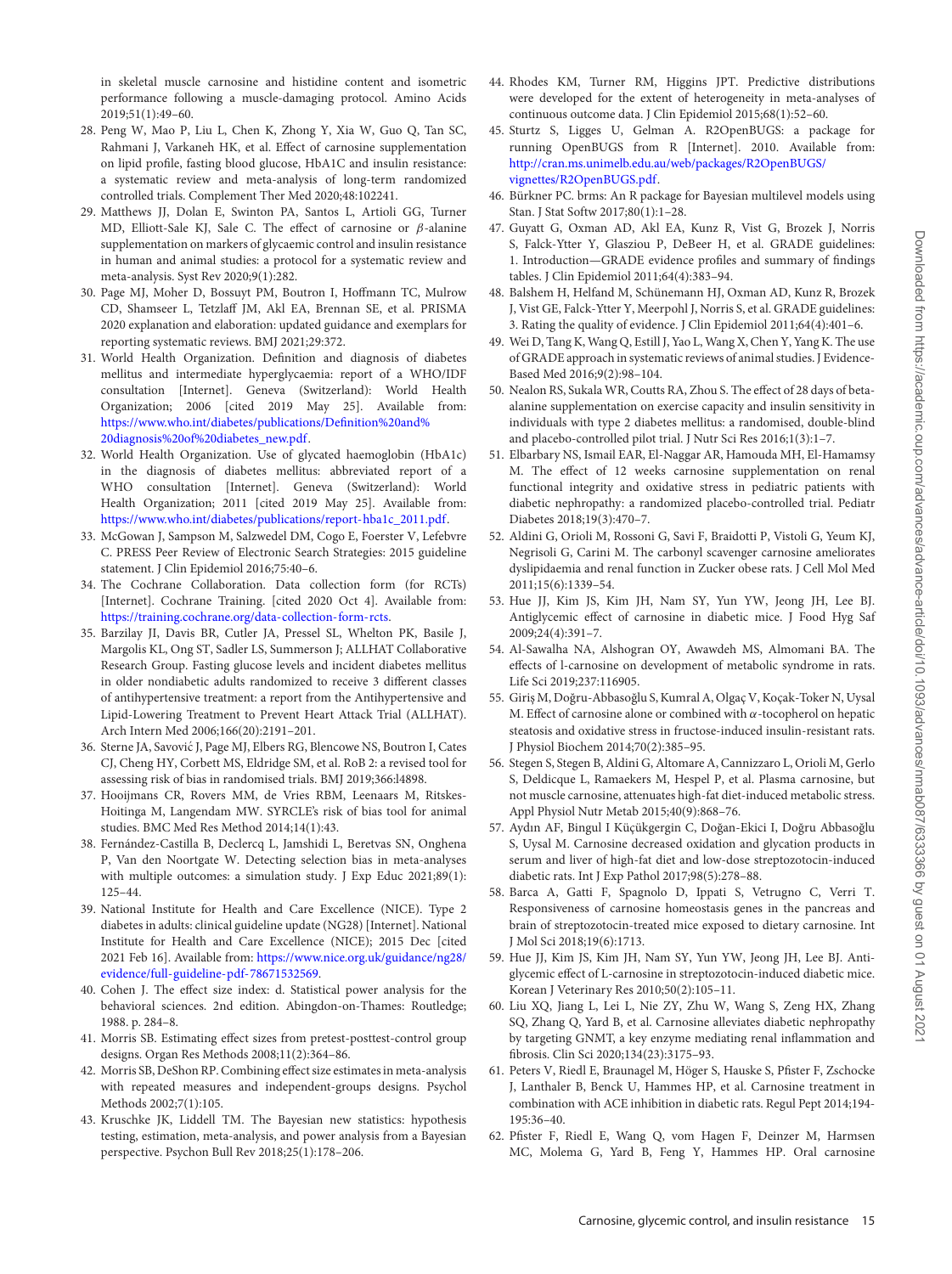in skeletal muscle carnosine and histidine content and isometric performance following a muscle-damaging protocol. Amino Acids 2019;51(1):49–60.

- <span id="page-14-0"></span>28. Peng W, Mao P, Liu L, Chen K, Zhong Y, Xia W, Guo Q, Tan SC, Rahmani J, Varkaneh HK, et al. Effect of carnosine supplementation on lipid profile, fasting blood glucose, HbA1C and insulin resistance: a systematic review and meta-analysis of long-term randomized controlled trials. Complement Ther Med 2020;48:102241.
- <span id="page-14-1"></span>29. Matthews JJ, Dolan E, Swinton PA, Santos L, Artioli GG, Turner MD, Elliott-Sale KJ, Sale C. The effect of carnosine or β-alanine supplementation on markers of glycaemic control and insulin resistance in human and animal studies: a protocol for a systematic review and meta-analysis. Syst Rev 2020;9(1):282.
- <span id="page-14-2"></span>30. Page MJ, Moher D, Bossuyt PM, Boutron I, Hoffmann TC, Mulrow CD, Shamseer L, Tetzlaff JM, Akl EA, Brennan SE, et al. PRISMA 2020 explanation and elaboration: updated guidance and exemplars for reporting systematic reviews. BMJ 2021;29:372.
- <span id="page-14-3"></span>31. World Health Organization. Definition and diagnosis of diabetes mellitus and intermediate hyperglycaemia: report of a WHO/IDF consultation [Internet]. Geneva (Switzerland): World Health Organization; 2006 [cited 2019 May 25]. Available from: [https://www.who.int/diabetes/publications/Definition%20and%](https://www.who.int/diabetes/publications/Definition%20and%20diagnosis%20of%20diabetes_new.pdf) 20diagnosis%20of%20diabetes\_new.pdf.
- <span id="page-14-4"></span>32. World Health Organization. Use of glycated haemoglobin (HbA1c) in the diagnosis of diabetes mellitus: abbreviated report of a WHO consultation [Internet]. Geneva (Switzerland): World Health Organization; 2011 [cited 2019 May 25]. Available from: [https://www.who.int/diabetes/publications/report-hba1c\\_2011.pdf.](https://www.who.int/diabetes/publications/report-hba1c_2011.pdf)
- <span id="page-14-5"></span>33. McGowan J, Sampson M, Salzwedel DM, Cogo E, Foerster V, Lefebvre C. PRESS Peer Review of Electronic Search Strategies: 2015 guideline statement. J Clin Epidemiol 2016;75:40–6.
- <span id="page-14-6"></span>34. The Cochrane Collaboration. Data collection form (for RCTs) [Internet]. Cochrane Training. [cited 2020 Oct 4]. Available from: [https://training.cochrane.org/data-collection-form-rcts.](https://training.cochrane.org/data-collection-form-rcts)
- <span id="page-14-7"></span>35. Barzilay JI, Davis BR, Cutler JA, Pressel SL, Whelton PK, Basile J, Margolis KL, Ong ST, Sadler LS, Summerson J; ALLHAT Collaborative Research Group. Fasting glucose levels and incident diabetes mellitus in older nondiabetic adults randomized to receive 3 different classes of antihypertensive treatment: a report from the Antihypertensive and Lipid-Lowering Treatment to Prevent Heart Attack Trial (ALLHAT). Arch Intern Med 2006;166(20):2191–201.
- <span id="page-14-8"></span>36. Sterne JA, Savovic J, Page MJ, Elbers RG, Blencowe NS, Boutron I, Cates ´ CJ, Cheng HY, Corbett MS, Eldridge SM, et al. RoB 2: a revised tool for assessing risk of bias in randomised trials. BMJ 2019;366:l4898.
- <span id="page-14-9"></span>37. Hooijmans CR, Rovers MM, de Vries RBM, Leenaars M, Ritskes-Hoitinga M, Langendam MW. SYRCLE's risk of bias tool for animal studies. BMC Med Res Method 2014;14(1):43.
- <span id="page-14-10"></span>38. Fernández-Castilla B, Declercq L, Jamshidi L, Beretvas SN, Onghena P, Van den Noortgate W. Detecting selection bias in meta-analyses with multiple outcomes: a simulation study. J Exp Educ 2021;89(1): 125–44.
- <span id="page-14-11"></span>39. National Institute for Health and Care Excellence (NICE). Type 2 diabetes in adults: clinical guideline update (NG28) [Internet]. National Institute for Health and Care Excellence (NICE); 2015 Dec [cited 2021 Feb 16]. Available from: https://www.nice.org.uk/guidance/ng28/ [evidence/full-guideline-pdf-78671532569.](https://www.nice.org.uk/guidance/ng28/evidence/full-guideline-pdf-78671532569)
- <span id="page-14-12"></span>40. Cohen J. The effect size index: d. Statistical power analysis for the behavioral sciences. 2nd edition. Abingdon-on-Thames: Routledge; 1988. p. 284–8.
- <span id="page-14-13"></span>41. Morris SB. Estimating effect sizes from pretest-posttest-control group designs. Organ Res Methods 2008;11(2):364–86.
- <span id="page-14-14"></span>42. Morris SB, DeShon RP. Combining effect size estimates in meta-analysis with repeated measures and independent-groups designs. Psychol Methods 2002;7(1):105.
- <span id="page-14-15"></span>43. Kruschke JK, Liddell TM. The Bayesian new statistics: hypothesis testing, estimation, meta-analysis, and power analysis from a Bayesian perspective. Psychon Bull Rev 2018;25(1):178–206.
- <span id="page-14-16"></span>44. Rhodes KM, Turner RM, Higgins JPT. Predictive distributions were developed for the extent of heterogeneity in meta-analyses of continuous outcome data. J Clin Epidemiol 2015;68(1):52–60.
- <span id="page-14-17"></span>45. Sturtz S, Ligges U, Gelman A. R2OpenBUGS: a package for running OpenBUGS from R [Internet]. 2010. Available from: [http://cran.ms.unimelb.edu.au/web/packages/R2OpenBUGS/](http://cran.ms.unimelb.edu.au/web/packages/R2OpenBUGS/vignettes/R2OpenBUGS.pdf) vignettes/R2OpenBUGS.pdf.
- <span id="page-14-18"></span>46. Bürkner PC. brms: An R package for Bayesian multilevel models using Stan. J Stat Softw 2017;80(1):1–28.
- <span id="page-14-19"></span>47. Guyatt G, Oxman AD, Akl EA, Kunz R, Vist G, Brozek J, Norris S, Falck-Ytter Y, Glasziou P, DeBeer H, et al. GRADE guidelines: 1. Introduction—GRADE evidence profiles and summary of findings tables. J Clin Epidemiol 2011;64(4):383–94.
- <span id="page-14-20"></span>48. Balshem H, Helfand M, Schünemann HJ, Oxman AD, Kunz R, Brozek J, Vist GE, Falck-Ytter Y, Meerpohl J, Norris S, et al. GRADE guidelines: 3. Rating the quality of evidence. J Clin Epidemiol 2011;64(4):401–6.
- <span id="page-14-21"></span>49. Wei D, Tang K, Wang Q, Estill J, Yao L, Wang X, Chen Y, Yang K. The use of GRADE approach in systematic reviews of animal studies. J Evidence-Based Med 2016;9(2):98–104.
- <span id="page-14-22"></span>50. Nealon RS, Sukala WR, Coutts RA, Zhou S. The effect of 28 days of betaalanine supplementation on exercise capacity and insulin sensitivity in individuals with type 2 diabetes mellitus: a randomised, double-blind and placebo-controlled pilot trial. J Nutr Sci Res 2016;1(3):1–7.
- <span id="page-14-23"></span>51. Elbarbary NS, Ismail EAR, El-Naggar AR, Hamouda MH, El-Hamamsy M. The effect of 12 weeks carnosine supplementation on renal functional integrity and oxidative stress in pediatric patients with diabetic nephropathy: a randomized placebo-controlled trial. Pediatr Diabetes 2018;19(3):470–7.
- <span id="page-14-24"></span>52. Aldini G, Orioli M, Rossoni G, Savi F, Braidotti P, Vistoli G, Yeum KJ, Negrisoli G, Carini M. The carbonyl scavenger carnosine ameliorates dyslipidaemia and renal function in Zucker obese rats. J Cell Mol Med 2011;15(6):1339–54.
- <span id="page-14-25"></span>53. Hue JJ, Kim JS, Kim JH, Nam SY, Yun YW, Jeong JH, Lee BJ. Antiglycemic effect of carnosine in diabetic mice. J Food Hyg Saf 2009;24(4):391–7.
- <span id="page-14-26"></span>54. Al-Sawalha NA, Alshogran OY, Awawdeh MS, Almomani BA. The effects of l-carnosine on development of metabolic syndrome in rats. Life Sci 2019;237:116905.
- <span id="page-14-31"></span>55. Giriş M, Doğru-Abbasoğlu S, Kumral A, Olgaç V, Koçak-Toker N, Uysal M. Effect of carnosine alone or combined with  $\alpha$ -tocopherol on hepatic steatosis and oxidative stress in fructose-induced insulin-resistant rats. J Physiol Biochem 2014;70(2):385–95.
- <span id="page-14-34"></span>56. Stegen S, Stegen B, Aldini G, Altomare A, Cannizzaro L, Orioli M, Gerlo S, Deldicque L, Ramaekers M, Hespel P, et al. Plasma carnosine, but not muscle carnosine, attenuates high-fat diet-induced metabolic stress. Appl Physiol Nutr Metab 2015;40(9):868–76.
- <span id="page-14-27"></span>57. Aydın AF, Bingul I Küçükgergin C, Doğan-Ekici I, Doğru Abbasoğlu S, Uysal M. Carnosine decreased oxidation and glycation products in serum and liver of high-fat diet and low-dose streptozotocin-induced diabetic rats. Int J Exp Pathol 2017;98(5):278–88.
- <span id="page-14-30"></span>58. Barca A, Gatti F, Spagnolo D, Ippati S, Vetrugno C, Verri T. Responsiveness of carnosine homeostasis genes in the pancreas and brain of streptozotocin-treated mice exposed to dietary carnosine. Int J Mol Sci 2018;19(6):1713.
- <span id="page-14-29"></span>59. Hue JJ, Kim JS, Kim JH, Nam SY, Yun YW, Jeong JH, Lee BJ. Antiglycemic effect of L-carnosine in streptozotocin-induced diabetic mice. Korean J Veterinary Res 2010;50(2):105–11.
- <span id="page-14-32"></span>60. Liu XQ, Jiang L, Lei L, Nie ZY, Zhu W, Wang S, Zeng HX, Zhang SQ, Zhang Q, Yard B, et al. Carnosine alleviates diabetic nephropathy by targeting GNMT, a key enzyme mediating renal inflammation and fibrosis. Clin Sci 2020;134(23):3175–93.
- <span id="page-14-33"></span>61. Peters V, Riedl E, Braunagel M, Höger S, Hauske S, Pfister F, Zschocke J, Lanthaler B, Benck U, Hammes HP, et al. Carnosine treatment in combination with ACE inhibition in diabetic rats. Regul Pept 2014;194- 195:36–40.
- <span id="page-14-28"></span>62. Pfister F, Riedl E, Wang Q, vom Hagen F, Deinzer M, Harmsen MC, Molema G, Yard B, Feng Y, Hammes HP. Oral carnosine